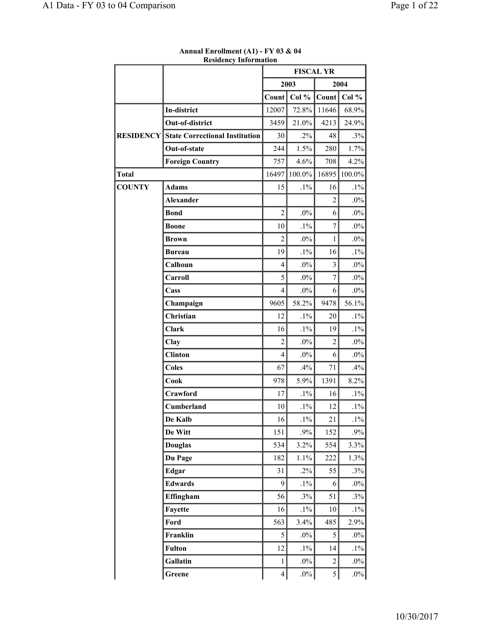|                  |                                       | <b>FISCAL YR</b> |        |                |        |
|------------------|---------------------------------------|------------------|--------|----------------|--------|
|                  |                                       |                  | 2003   |                | 2004   |
|                  |                                       | Count            | Col %  | Count          | Col %  |
|                  | In-district                           | 12007            | 72.8%  | 11646          | 68.9%  |
|                  | Out-of-district                       | 3459             | 21.0%  | 4213           | 24.9%  |
| <b>RESIDENCY</b> | <b>State Correctional Institution</b> | 30               | $.2\%$ | 48             | .3%    |
|                  | Out-of-state                          | 244              | 1.5%   | 280            | 1.7%   |
|                  | <b>Foreign Country</b>                | 757              | 4.6%   | 708            | 4.2%   |
| <b>Total</b>     |                                       | 16497            | 100.0% | 16895          | 100.0% |
| <b>COUNTY</b>    | <b>Adams</b>                          | 15               | $.1\%$ | 16             | $.1\%$ |
|                  | <b>Alexander</b>                      |                  |        | $\overline{2}$ | $.0\%$ |
|                  | <b>Bond</b>                           | $\overline{2}$   | $.0\%$ | 6              | $.0\%$ |
|                  | <b>Boone</b>                          | 10               | $.1\%$ | $\overline{7}$ | $.0\%$ |
|                  | <b>Brown</b>                          | $\overline{2}$   | $.0\%$ | 1              | $.0\%$ |
|                  | <b>Bureau</b>                         | 19               | $.1\%$ | 16             | $.1\%$ |
|                  | Calhoun                               | $\overline{4}$   | $.0\%$ | $\overline{3}$ | $.0\%$ |
|                  | Carroll                               | 5                | $.0\%$ | 7              | $.0\%$ |
|                  | Cass                                  | $\overline{4}$   | $.0\%$ | 6              | $.0\%$ |
|                  | Champaign                             | 9605             | 58.2%  | 9478           | 56.1%  |
|                  | Christian                             | 12               | $.1\%$ | 20             | $.1\%$ |
|                  | <b>Clark</b>                          | 16               | $.1\%$ | 19             | $.1\%$ |
|                  | Clay                                  | $\overline{2}$   | $.0\%$ | $\overline{2}$ | .0%    |
|                  | <b>Clinton</b>                        | 4                | $.0\%$ | 6              | $.0\%$ |
|                  | <b>Coles</b>                          | 67               | .4%    | 71             | .4%    |
|                  | Cook                                  | 978              | 5.9%   | 1391           | 8.2%   |
|                  | Crawford                              | 17               | $.1\%$ | 16             | $.1\%$ |
|                  | Cumberland                            | 10               | $.1\%$ | 12             | $.1\%$ |
|                  | De Kalb                               | 16               | $.1\%$ | 21             | $.1\%$ |
|                  | De Witt                               | 151              | .9%    | 152            | $.9\%$ |
|                  | <b>Douglas</b>                        | 534              | 3.2%   | 554            | 3.3%   |
|                  | Du Page                               | 182              | 1.1%   | 222            | 1.3%   |
|                  | Edgar                                 | 31               | $.2\%$ | 55             | .3%    |
|                  | <b>Edwards</b>                        | 9                | $.1\%$ | 6              | $.0\%$ |
|                  | Effingham                             | 56               | .3%    | 51             | .3%    |
|                  | Fayette                               | 16               | $.1\%$ | 10             | $.1\%$ |
|                  | Ford                                  | 563              | 3.4%   | 485            | 2.9%   |
|                  | Franklin                              | 5                | $.0\%$ | 5              | $.0\%$ |
|                  | <b>Fulton</b>                         | 12               | $.1\%$ | 14             | $.1\%$ |
|                  | Gallatin                              | $\mathbf{1}$     | $.0\%$ | $\overline{2}$ | $.0\%$ |
|                  | Greene                                | $\overline{4}$   | $.0\%$ | $\sqrt{5}$     | $.0\%$ |

**Annual Enrollment (A1) - FY 03 & 04 Residency Information**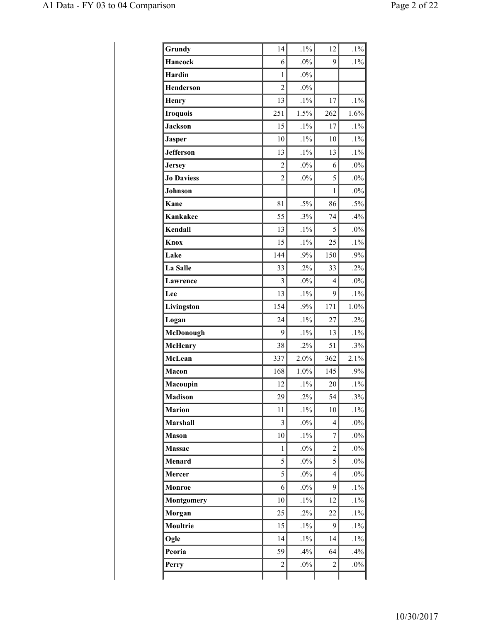| Grundy            | 14             | $.1\%$ | 12             | $.1\%$ |
|-------------------|----------------|--------|----------------|--------|
| <b>Hancock</b>    | 6              | $.0\%$ | 9              | $.1\%$ |
| <b>Hardin</b>     | 1              | $.0\%$ |                |        |
| <b>Henderson</b>  | $\overline{2}$ | $.0\%$ |                |        |
| <b>Henry</b>      | 13             | $.1\%$ | 17             | $.1\%$ |
| <b>Iroquois</b>   | 251            | 1.5%   | 262            | 1.6%   |
| <b>Jackson</b>    | 15             | $.1\%$ | 17             | $.1\%$ |
| <b>Jasper</b>     | 10             | $.1\%$ | 10             | $.1\%$ |
| <b>Jefferson</b>  | 13             | $.1\%$ | 13             | $.1\%$ |
| <b>Jersey</b>     | $\overline{c}$ | $.0\%$ | 6              | $.0\%$ |
| <b>Jo Daviess</b> | $\overline{c}$ | $.0\%$ | 5              | $.0\%$ |
| Johnson           |                |        | $\mathbf{1}$   | $.0\%$ |
| Kane              | 81             | $.5\%$ | 86             | $.5\%$ |
| <b>Kankakee</b>   | 55             | .3%    | 74             | .4%    |
| Kendall           | 13             | $.1\%$ | 5              | $.0\%$ |
| Knox              | 15             | $.1\%$ | 25             | $.1\%$ |
| Lake              | 144            | .9%    | 150            | $.9\%$ |
| La Salle          | 33             | $.2\%$ | 33             | $.2\%$ |
| <b>Lawrence</b>   | 3              | $.0\%$ | 4              | $.0\%$ |
| Lee               | 13             | $.1\%$ | 9              | $.1\%$ |
| Livingston        | 154            | .9%    | 171            | 1.0%   |
| Logan             | 24             | $.1\%$ | 27             | $.2\%$ |
| McDonough         | 9              | $.1\%$ | 13             | $.1\%$ |
| <b>McHenry</b>    | 38             | .2%    | 51             | .3%    |
| McLean            | 337            | 2.0%   | 362            | 2.1%   |
| Macon             | 168            | 1.0%   | 145            | .9%    |
| Macoupin          | 12             | $.1\%$ | 20             | $.1\%$ |
| <b>Madison</b>    | 29             | .2%    | 54             | .3%    |
| <b>Marion</b>     | 11             | $.1\%$ | 10             | $.1\%$ |
| <b>Marshall</b>   | 3              | $.0\%$ | 4              | $.0\%$ |
| <b>Mason</b>      | 10             | $.1\%$ | $\overline{7}$ | $.0\%$ |
| <b>Massac</b>     | $\mathbf{1}$   | $.0\%$ | $\overline{c}$ | $.0\%$ |
| Menard            | 5              | $.0\%$ | 5              | $.0\%$ |
| Mercer            | 5              | $.0\%$ | 4              | $.0\%$ |
| Monroe            | 6              | $.0\%$ | 9              | $.1\%$ |
| <b>Montgomery</b> | 10             | $.1\%$ | 12             | $.1\%$ |
| Morgan            | 25             | $.2\%$ | 22             | $.1\%$ |
| Moultrie          | 15             | $.1\%$ | 9              | $.1\%$ |
| Ogle              | 14             | $.1\%$ | 14             | $.1\%$ |
| Peoria            | 59             | .4%    | 64             | .4%    |
| Perry             | $\overline{c}$ | $.0\%$ | 2              | $.0\%$ |
|                   |                |        |                |        |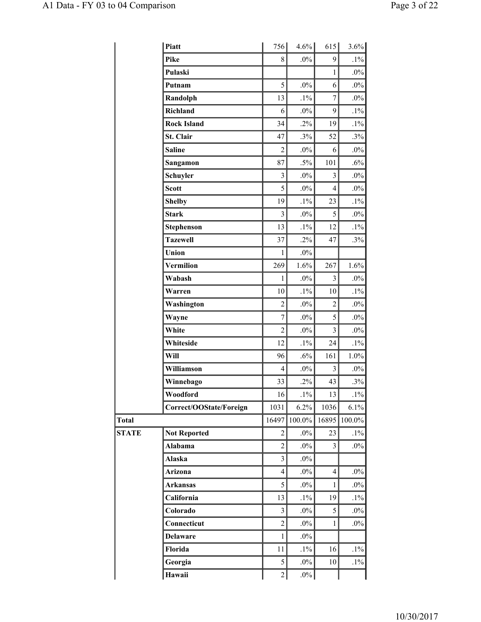|              | Piatt                   | 756              | $4.6\%$ | 615                      | 3.6%    |
|--------------|-------------------------|------------------|---------|--------------------------|---------|
|              | Pike                    | 8                | $.0\%$  | 9                        | $.1\%$  |
|              | Pulaski                 |                  |         | $\mathbf{1}$             | $.0\%$  |
|              | Putnam                  | 5                | $.0\%$  | 6                        | $.0\%$  |
|              | Randolph                | 13               | $.1\%$  | $\overline{7}$           | $.0\%$  |
|              | Richland                | 6                | $.0\%$  | 9                        | $.1\%$  |
|              | <b>Rock Island</b>      | 34               | $.2\%$  | 19                       | $.1\%$  |
|              | St. Clair               | 47               | .3%     | 52                       | $.3\%$  |
|              | <b>Saline</b>           | $\overline{2}$   | $.0\%$  | 6                        | $.0\%$  |
|              | Sangamon                | 87               | $.5\%$  | 101                      | $.6\%$  |
|              | Schuyler                | 3                | $.0\%$  | 3                        | $.0\%$  |
|              | <b>Scott</b>            | 5                | $.0\%$  | $\overline{\mathcal{L}}$ | $.0\%$  |
|              | <b>Shelby</b>           | 19               | $.1\%$  | 23                       | $.1\%$  |
|              | <b>Stark</b>            | 3                | $.0\%$  | 5                        | $.0\%$  |
|              | <b>Stephenson</b>       | 13               | $.1\%$  | 12                       | $.1\%$  |
|              | <b>Tazewell</b>         | 37               | $.2\%$  | 47                       | $.3\%$  |
|              | Union                   | $\mathbf{1}$     | $.0\%$  |                          |         |
|              | Vermilion               | 269              | 1.6%    | 267                      | 1.6%    |
|              | Wabash                  | $\mathbf{1}$     | $.0\%$  | $\overline{3}$           | $.0\%$  |
|              | Warren                  | 10               | $.1\%$  | 10                       | $.1\%$  |
|              | Washington              | $\overline{c}$   | $.0\%$  | $\overline{c}$           | $.0\%$  |
|              | Wayne                   | $\boldsymbol{7}$ | $.0\%$  | 5                        | $.0\%$  |
|              | White                   | $\overline{c}$   | $.0\%$  | $\overline{3}$           | $.0\%$  |
|              | Whiteside               | 12               | $.1\%$  | 24                       | $.1\%$  |
|              | Will                    | 96               | .6%     | 161                      | $1.0\%$ |
|              | Williamson              | 4                | $.0\%$  | 3                        | $.0\%$  |
|              | Winnebago               | 33               | $.2\%$  | 43                       | $.3\%$  |
|              | Woodford                | 16               | $.1\%$  | 13                       | $.1\%$  |
|              | Correct/OOState/Foreign | 1031             | 6.2%    | 1036                     | 6.1%    |
| Total        |                         | 16497            | 100.0%  | 16895                    | 100.0%  |
| <b>STATE</b> | <b>Not Reported</b>     | $\overline{c}$   | $.0\%$  | 23                       | $.1\%$  |
|              | Alabama                 | $\overline{c}$   | $.0\%$  | 3                        | $.0\%$  |
|              | Alaska                  | 3                | $.0\%$  |                          |         |
|              | Arizona                 | $\overline{4}$   | $.0\%$  | $\overline{4}$           | $.0\%$  |
|              | <b>Arkansas</b>         | 5                | $.0\%$  | $\mathbf{1}$             | $.0\%$  |
|              | California              | 13               | $.1\%$  | 19                       | $.1\%$  |
|              | Colorado                | 3                | $.0\%$  | 5                        | $.0\%$  |
|              | Connecticut             | $\overline{c}$   | $.0\%$  | $\mathbf{1}$             | $.0\%$  |
|              | <b>Delaware</b>         |                  | $.0\%$  |                          |         |
|              |                         | $\mathbf{1}$     |         |                          |         |
|              | Florida                 | 11               | $.1\%$  | 16                       | $.1\%$  |
|              | Georgia                 | 5                | $.0\%$  | 10                       | $.1\%$  |
|              | Hawaii                  | $\overline{2}$   | $.0\%$  |                          |         |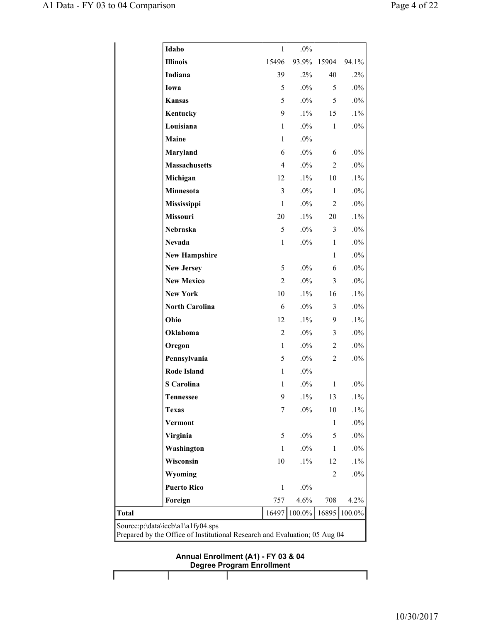| Idaho                 | 1              | $.0\%$ |                |        |
|-----------------------|----------------|--------|----------------|--------|
| <b>Illinois</b>       | 15496          | 93.9%  | 15904          | 94.1%  |
| Indiana               | 39             | $.2\%$ | 40             | $.2\%$ |
| Iowa                  | 5              | $.0\%$ | 5              | $.0\%$ |
| <b>Kansas</b>         | 5              | $.0\%$ | 5              | $.0\%$ |
| Kentucky              | 9              | $.1\%$ | 15             | $.1\%$ |
| Louisiana             | $\mathbf{1}$   | $.0\%$ | $\mathbf{1}$   | $.0\%$ |
| Maine                 | 1              | $.0\%$ |                |        |
| Maryland              | 6              | $.0\%$ | 6              | $.0\%$ |
| <b>Massachusetts</b>  | $\overline{4}$ | $.0\%$ | $\overline{c}$ | $.0\%$ |
| Michigan              | 12             | $.1\%$ | 10             | $.1\%$ |
| Minnesota             | 3              | $.0\%$ | $\mathbf{1}$   | $.0\%$ |
| Mississippi           | $\mathbf{1}$   | $.0\%$ | 2              | $.0\%$ |
| Missouri              | 20             | $.1\%$ | 20             | $.1\%$ |
| <b>Nebraska</b>       | 5              | $.0\%$ | $\mathfrak{Z}$ | $.0\%$ |
| <b>Nevada</b>         | $\mathbf{1}$   | $.0\%$ | $\mathbf{1}$   | $.0\%$ |
| <b>New Hampshire</b>  |                |        | $\mathbf{1}$   | $.0\%$ |
| <b>New Jersey</b>     | 5              | $.0\%$ | 6              | $.0\%$ |
| <b>New Mexico</b>     | $\overline{2}$ | $.0\%$ | 3              | $.0\%$ |
| <b>New York</b>       | 10             | $.1\%$ | 16             | $.1\%$ |
| <b>North Carolina</b> | 6              | $.0\%$ | 3              | $.0\%$ |
| Ohio                  | 12             | $.1\%$ | 9              | $.1\%$ |
| Oklahoma              | $\overline{2}$ | $.0\%$ | $\overline{3}$ | $.0\%$ |
| Oregon                | $\mathbf{1}$   | $.0\%$ | $\overline{c}$ | $.0\%$ |
| Pennsylvania          | 5              | $.0\%$ | $\overline{c}$ | $.0\%$ |
| <b>Rode Island</b>    | 1              | $.0\%$ |                |        |
| <b>S</b> Carolina     | $\mathbf{1}$   | $.0\%$ | $\mathbf{1}$   | $.0\%$ |
| <b>Tennessee</b>      | 9              | $.1\%$ | 13             | $.1\%$ |
| <b>Texas</b>          | 7              | $.0\%$ | 10             | $.1\%$ |
| Vermont               |                |        | $\mathbf{1}$   | $.0\%$ |
| Virginia              | 5              | $.0\%$ | 5              | $.0\%$ |
| Washington            | $\mathbf{1}$   | $.0\%$ | $\mathbf{1}$   | $.0\%$ |
| Wisconsin             | 10             | $.1\%$ | 12             | $.1\%$ |
| Wyoming               |                |        | 2              | $.0\%$ |
| <b>Puerto Rico</b>    | $\mathbf{1}$   | $.0\%$ |                |        |
| Foreign               | 757            | 4.6%   | 708            | 4.2%   |
| <b>Total</b>          | 16497          | 100.0% | 16895          | 100.0% |

## **Annual Enrollment (A1) - FY 03 & 04 Degree Program Enrollment**

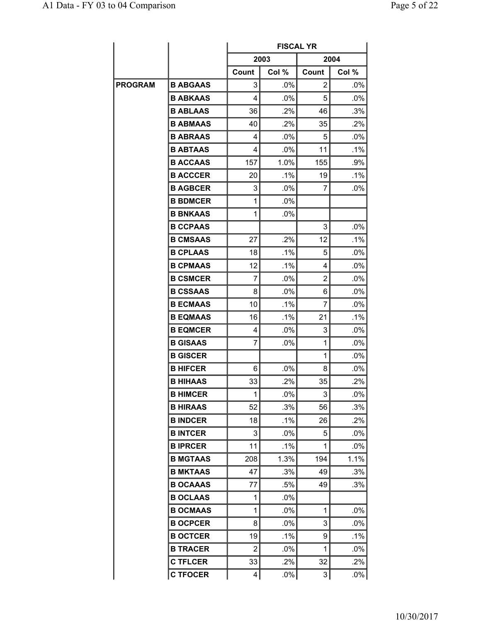|         |                 | <b>FISCAL YR</b> |        |                |        |  |  |  |
|---------|-----------------|------------------|--------|----------------|--------|--|--|--|
|         |                 |                  | 2003   |                | 2004   |  |  |  |
|         |                 | Count            | Col %  | Count          | Col %  |  |  |  |
| PROGRAM | <b>B ABGAAS</b> | 3                | .0%    | 2              | $.0\%$ |  |  |  |
|         | <b>B ABKAAS</b> | 4                | $.0\%$ | 5              | .0%    |  |  |  |
|         | <b>B ABLAAS</b> | 36               | .2%    | 46             | .3%    |  |  |  |
|         | <b>B ABMAAS</b> | 40               | .2%    | 35             | .2%    |  |  |  |
|         | <b>B ABRAAS</b> | 4                | $.0\%$ | 5              | $.0\%$ |  |  |  |
|         | <b>B ABTAAS</b> | 4                | .0%    | 11             | .1%    |  |  |  |
|         | <b>B ACCAAS</b> | 157              | 1.0%   | 155            | .9%    |  |  |  |
|         | <b>B ACCCER</b> | 20               | .1%    | 19             | .1%    |  |  |  |
|         | <b>B AGBCER</b> | 3                | $.0\%$ | 7              | .0%    |  |  |  |
|         | <b>B BDMCER</b> | 1                | $.0\%$ |                |        |  |  |  |
|         | <b>B BNKAAS</b> | 1                | .0%    |                |        |  |  |  |
|         | <b>B CCPAAS</b> |                  |        | 3              | .0%    |  |  |  |
|         | <b>B CMSAAS</b> | 27               | .2%    | 12             | .1%    |  |  |  |
|         | <b>B CPLAAS</b> | 18               | $.1\%$ | 5              | $.0\%$ |  |  |  |
|         | <b>B CPMAAS</b> | 12               | $.1\%$ | 4              | .0%    |  |  |  |
|         | <b>B CSMCER</b> | 7                | $.0\%$ | $\overline{2}$ | .0%    |  |  |  |
|         | <b>B CSSAAS</b> | 8                | .0%    | 6              | .0%    |  |  |  |
|         | <b>B ECMAAS</b> | 10               | $.1\%$ | 7              | $.0\%$ |  |  |  |
|         | <b>B EQMAAS</b> | 16               | $.1\%$ | 21             | .1%    |  |  |  |
|         | <b>B EQMCER</b> | 4                | $.0\%$ | 3              | .0%    |  |  |  |
|         | <b>B GISAAS</b> | 7                | $.0\%$ | 1              | .0%    |  |  |  |
|         | <b>B GISCER</b> |                  |        | 1              | $.0\%$ |  |  |  |
|         | <b>B HIFCER</b> | 6                | .0%    | 8              | .0%    |  |  |  |
|         | <b>B HIHAAS</b> | 33               | .2%    | 35             | .2%    |  |  |  |
|         | <b>B HIMCER</b> | 1                | $.0\%$ | 3              | .0%    |  |  |  |
|         | <b>B HIRAAS</b> | 52               | .3%    | 56             | .3%    |  |  |  |
|         | <b>B INDCER</b> | 18               | $.1\%$ | 26             | .2%    |  |  |  |
|         | <b>B INTCER</b> | 3                | $.0\%$ | 5              | .0%    |  |  |  |
|         | <b>BIPRCER</b>  | 11               | $.1\%$ | 1              | .0%    |  |  |  |
|         | <b>B MGTAAS</b> | 208              | 1.3%   | 194            | 1.1%   |  |  |  |
|         | <b>B MKTAAS</b> | 47               | .3%    | 49             | .3%    |  |  |  |
|         | <b>B OCAAAS</b> | 77               | .5%    | 49             | .3%    |  |  |  |
|         | <b>B OCLAAS</b> | 1                | $.0\%$ |                |        |  |  |  |
|         | <b>B OCMAAS</b> | 1                | .0%    | 1              | .0%    |  |  |  |
|         | <b>B OCPCER</b> | 8                | $.0\%$ | 3              | .0%    |  |  |  |
|         | <b>B OCTCER</b> | 19               | $.1\%$ | 9              | .1%    |  |  |  |
|         | <b>B TRACER</b> | 2                | $.0\%$ | 1              | $.0\%$ |  |  |  |
|         | <b>C TFLCER</b> | 33               | .2%    | 32             | .2%    |  |  |  |
|         | <b>C TFOCER</b> | 4                | $.0\%$ | $\mathbf{3}$   | $.0\%$ |  |  |  |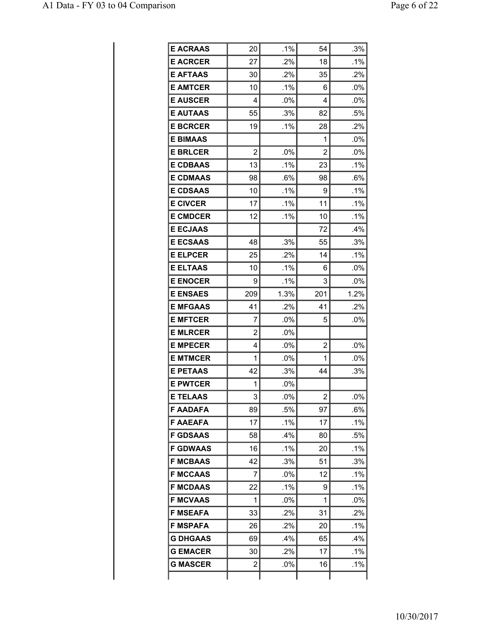| <b>E ACRAAS</b> | 20             | $.1\%$ | 54             | .3%    |
|-----------------|----------------|--------|----------------|--------|
| <b>E ACRCER</b> | 27             | .2%    | 18             | .1%    |
| <b>E AFTAAS</b> | 30             | .2%    | 35             | .2%    |
| <b>E AMTCER</b> | 10             | $.1\%$ | 6              | .0%    |
| <b>E AUSCER</b> | 4              | .0%    | 4              | .0%    |
| <b>E AUTAAS</b> | 55             | .3%    | 82             | .5%    |
| <b>E BCRCER</b> | 19             | .1%    | 28             | .2%    |
| <b>E BIMAAS</b> |                |        | 1              | $.0\%$ |
| <b>E BRLCER</b> | $\overline{2}$ | .0%    | $\overline{2}$ | .0%    |
| <b>E CDBAAS</b> | 13             | .1%    | 23             | .1%    |
| <b>E CDMAAS</b> | 98             | .6%    | 98             | .6%    |
| <b>E CDSAAS</b> | 10             | $.1\%$ | 9              | $.1\%$ |
| <b>E CIVCER</b> | 17             | $.1\%$ | 11             | .1%    |
| <b>E CMDCER</b> | 12             | .1%    | 10             | .1%    |
| <b>E ECJAAS</b> |                |        | 72             | .4%    |
| <b>E ECSAAS</b> | 48             | .3%    | 55             | .3%    |
| <b>E ELPCER</b> | 25             | .2%    | 14             | $.1\%$ |
| <b>E ELTAAS</b> | 10             | .1%    | 6              | .0%    |
| <b>E ENOCER</b> | 9              | $.1\%$ | 3              | .0%    |
| <b>E ENSAES</b> | 209            | 1.3%   | 201            | 1.2%   |
| <b>E MFGAAS</b> | 41             | .2%    | 41             | $.2\%$ |
| <b>E MFTCER</b> | 7              | .0%    | 5              | .0%    |
| <b>E MLRCER</b> | 2              | .0%    |                |        |
| <b>E MPECER</b> | 4              | .0%    | 2              | .0%    |
| <b>E MTMCER</b> | 1              | .0%    | 1              | $.0\%$ |
| <b>E PETAAS</b> | 42             | .3%    | 44             | .3%    |
| <b>E PWTCER</b> | 1              | .0%    |                |        |
| <b>E TELAAS</b> | 3              | .0%    | 2              | .0%    |
| <b>F AADAFA</b> | 89             | .5%    | 97             | .6%    |
| <b>F AAEAFA</b> | 17             | .1%    | 17             | .1%    |
| <b>F GDSAAS</b> | 58             | .4%    | 80             | .5%    |
| <b>F GDWAAS</b> | 16             | .1%    | 20             | .1%    |
| <b>F MCBAAS</b> | 42             | .3%    | 51             | .3%    |
| <b>F MCCAAS</b> | 7              | .0%    | 12             | $.1\%$ |
| <b>F MCDAAS</b> | 22             | $.1\%$ | 9              | .1%    |
| <b>F MCVAAS</b> | 1              | $.0\%$ | 1              | .0%    |
| <b>F MSEAFA</b> | 33             | .2%    | 31             | .2%    |
| <b>F MSPAFA</b> | 26             | .2%    | 20             | .1%    |
| <b>G DHGAAS</b> | 69             | .4%    | 65             | .4%    |
| <b>G EMACER</b> | 30             | $.2\%$ | 17             | .1%    |
| <b>G MASCER</b> | 2              | .0%    | 16             | .1%    |
|                 |                |        |                |        |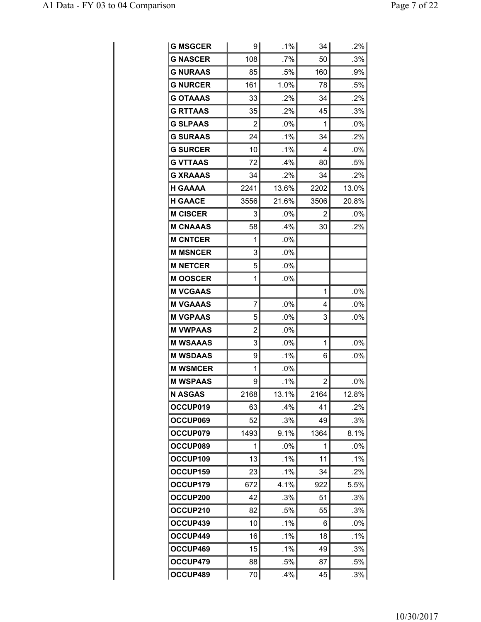| <b>G MSGCER</b> | 9    | .1%    | 34             | .2%    |
|-----------------|------|--------|----------------|--------|
| <b>G NASCER</b> | 108  | $.7\%$ | 50             | .3%    |
| <b>G NURAAS</b> | 85   | .5%    | 160            | .9%    |
| <b>G NURCER</b> | 161  | 1.0%   | 78             | .5%    |
| <b>G OTAAAS</b> | 33   | .2%    | 34             | .2%    |
| <b>G RTTAAS</b> | 35   | $.2\%$ | 45             | .3%    |
| <b>G SLPAAS</b> | 2    | .0%    | 1              | $.0\%$ |
| <b>G SURAAS</b> | 24   | $.1\%$ | 34             | .2%    |
| <b>G SURCER</b> | 10   | $.1\%$ | 4              | $.0\%$ |
| <b>G VTTAAS</b> | 72   | .4%    | 80             | .5%    |
| <b>G XRAAAS</b> | 34   | .2%    | 34             | $.2\%$ |
| <b>H GAAAA</b>  | 2241 | 13.6%  | 2202           | 13.0%  |
| <b>H GAACE</b>  | 3556 | 21.6%  | 3506           | 20.8%  |
| <b>M CISCER</b> | 3    | $.0\%$ | 2              | $.0\%$ |
| <b>M CNAAAS</b> | 58   | .4%    | 30             | $.2\%$ |
| <b>M CNTCER</b> | 1    | .0%    |                |        |
| <b>M MSNCER</b> | 3    | .0%    |                |        |
| <b>M NETCER</b> | 5    | $.0\%$ |                |        |
| <b>MOOSCER</b>  | 1    | $.0\%$ |                |        |
| <b>M VCGAAS</b> |      |        | 1              | $.0\%$ |
| <b>M VGAAAS</b> | 7    | .0%    | 4              | $.0\%$ |
| <b>M VGPAAS</b> | 5    | $.0\%$ | 3              | .0%    |
| <b>M VWPAAS</b> | 2    | $.0\%$ |                |        |
| <b>M WSAAAS</b> | 3    | .0%    | 1              | .0%    |
| <b>M WSDAAS</b> | 9    | $.1\%$ | 6              | .0%    |
| <b>M WSMCER</b> | 1    | .0%    |                |        |
| <b>M WSPAAS</b> | 9    | .1%    | $\overline{2}$ | .0%    |
| <b>N ASGAS</b>  | 2168 | 13.1%  | 2164           | 12.8%  |
| OCCUP019        | 63   | .4%    | 41             | .2%    |
| OCCUP069        | 52   | .3%    | 49             | $.3\%$ |
| OCCUP079        | 1493 | 9.1%   | 1364           | 8.1%   |
| OCCUP089        | 1    | .0%    | 1              | .0%    |
| OCCUP109        | 13   | .1%    | 11             | $.1\%$ |
| OCCUP159        | 23   | .1%    | 34             | $.2\%$ |
| OCCUP179        | 672  | 4.1%   | 922            | 5.5%   |
| OCCUP200        | 42   | .3%    | 51             | .3%    |
| OCCUP210        | 82   | .5%    | 55             | .3%    |
| OCCUP439        | 10   | .1%    | 6              | $.0\%$ |
| OCCUP449        | 16   | .1%    | 18             | .1%    |
| OCCUP469        | 15   | $.1\%$ | 49             | .3%    |
| OCCUP479        | 88   | .5%    | 87             | .5%    |
| OCCUP489        | 70   | .4%    | 45             | .3%    |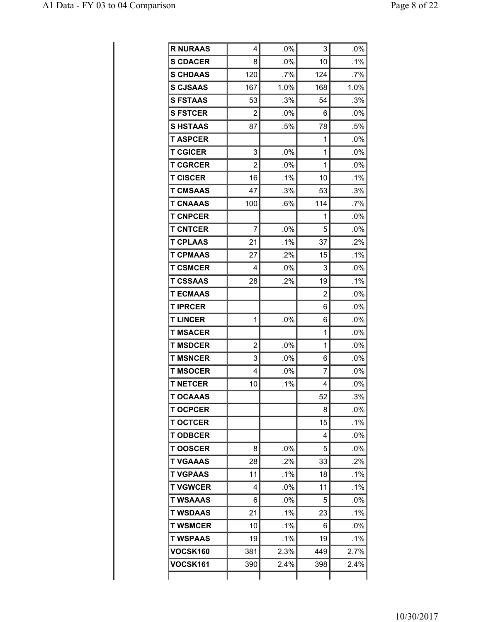| <b>R NURAAS</b> | 4              | $.0\%$ | 3   | $.0\%$ |
|-----------------|----------------|--------|-----|--------|
| <b>S CDACER</b> | 8              | .0%    | 10  | .1%    |
| <b>S CHDAAS</b> | 120            | .7%    | 124 | .7%    |
| <b>S CJSAAS</b> | 167            | 1.0%   | 168 | 1.0%   |
| <b>S FSTAAS</b> | 53             | .3%    | 54  | .3%    |
| <b>S FSTCER</b> | $\overline{2}$ | $.0\%$ | 6   | $.0\%$ |
| <b>SHSTAAS</b>  | 87             | .5%    | 78  | .5%    |
| <b>T ASPCER</b> |                |        | 1   | .0%    |
| <b>T CGICER</b> | 3              | $.0\%$ | 1   | .0%    |
| <b>T CGRCER</b> | $\overline{2}$ | .0%    | 1   | .0%    |
| <b>T CISCER</b> | 16             | .1%    | 10  | .1%    |
| <b>T CMSAAS</b> | 47             | .3%    | 53  | .3%    |
| <b>T CNAAAS</b> | 100            | .6%    | 114 | .7%    |
| <b>T CNPCER</b> |                |        | 1   | $.0\%$ |
| <b>T CNTCER</b> | 7              | .0%    | 5   | .0%    |
| <b>T CPLAAS</b> | 21             | $.1\%$ | 37  | .2%    |
| <b>T CPMAAS</b> | 27             | .2%    | 15  | .1%    |
| <b>T CSMCER</b> | 4              | .0%    | 3   | .0%    |
| <b>T CSSAAS</b> | 28             | .2%    | 19  | .1%    |
| <b>T ECMAAS</b> |                |        | 2   | $.0\%$ |
| <b>TIPRCER</b>  |                |        | 6   | .0%    |
| <b>T LINCER</b> | 1              | .0%    | 6   | .0%    |
| <b>T MSACER</b> |                |        | 1   | .0%    |
| <b>T MSDCER</b> | $\overline{2}$ | .0%    | 1   | $.0\%$ |
| <b>T MSNCER</b> | 3              | $.0\%$ | 6   | .0%    |
| <b>T MSOCER</b> | 4              | .0%    | 7   | .0%    |
| <b>T NETCER</b> | 10             | .1%    | 4   | .0%    |
| <b>T OCAAAS</b> |                |        | 52  | .3%    |
| <b>T OCPCER</b> |                |        | 8   | .0%    |
| <b>T OCTCER</b> |                |        | 15  | .1%    |
| <b>TODBCER</b>  |                |        | 4   | .0%    |
| <b>TOOSCER</b>  | 8              | $.0\%$ | 5   | $.0\%$ |
| <b>T VGAAAS</b> | 28             | .2%    | 33  | .2%    |
| <b>T VGPAAS</b> | 11             | .1%    | 18  | .1%    |
| <b>T VGWCER</b> | 4              | $.0\%$ | 11  | .1%    |
| <b>T WSAAAS</b> | 6              | $.0\%$ | 5   | .0%    |
| <b>T WSDAAS</b> | 21             | .1%    | 23  | $.1\%$ |
| <b>T WSMCER</b> | 10             | $.1\%$ | 6   | .0%    |
| <b>T WSPAAS</b> | 19             | $.1\%$ | 19  | $.1\%$ |
| <b>VOCSK160</b> | 381            | 2.3%   | 449 | 2.7%   |
| <b>VOCSK161</b> | 390            | 2.4%   | 398 | 2.4%   |
|                 |                |        |     |        |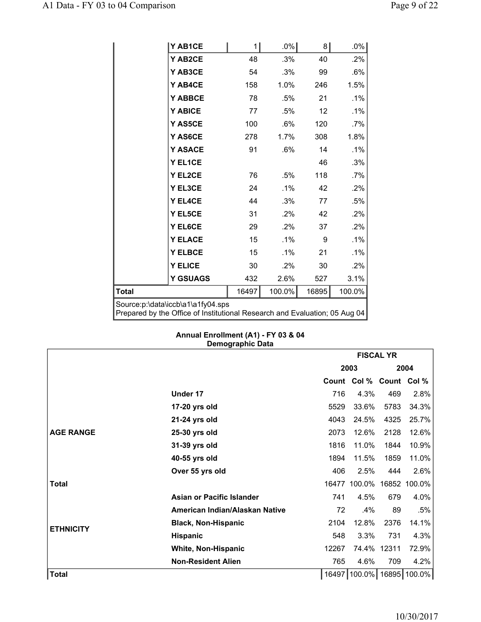|                                                                                                                 | Y AB1CE         | 1     | $.0\%$ | 8     | $.0\%$ |  |  |
|-----------------------------------------------------------------------------------------------------------------|-----------------|-------|--------|-------|--------|--|--|
|                                                                                                                 | Y AB2CE         | 48    | .3%    | 40    | .2%    |  |  |
|                                                                                                                 | Y AB3CE         | 54    | .3%    | 99    | .6%    |  |  |
|                                                                                                                 | Y AB4CE         | 158   | 1.0%   | 246   | 1.5%   |  |  |
|                                                                                                                 | Y ABBCE         | 78    | .5%    | 21    | .1%    |  |  |
|                                                                                                                 | Y ABICE         | 77    | .5%    | 12    | .1%    |  |  |
|                                                                                                                 | <b>Y AS5CE</b>  | 100   | .6%    | 120   | .7%    |  |  |
|                                                                                                                 | Y AS6CE         | 278   | 1.7%   | 308   | 1.8%   |  |  |
|                                                                                                                 | <b>Y ASACE</b>  | 91    | .6%    | 14    | .1%    |  |  |
|                                                                                                                 | Y EL1CE         |       |        | 46    | .3%    |  |  |
|                                                                                                                 | Y EL2CE         | 76    | .5%    | 118   | .7%    |  |  |
|                                                                                                                 | Y EL3CE         | 24    | $.1\%$ | 42    | .2%    |  |  |
|                                                                                                                 | Y EL4CE         | 44    | .3%    | 77    | .5%    |  |  |
|                                                                                                                 | Y EL5CE         | 31    | .2%    | 42    | .2%    |  |  |
|                                                                                                                 | Y EL6CE         | 29    | .2%    | 37    | .2%    |  |  |
|                                                                                                                 | <b>Y ELACE</b>  | 15    | $.1\%$ | 9     | .1%    |  |  |
|                                                                                                                 | <b>Y ELBCE</b>  | 15    | .1%    | 21    | .1%    |  |  |
|                                                                                                                 | <b>Y ELICE</b>  | 30    | .2%    | 30    | .2%    |  |  |
|                                                                                                                 | <b>Y GSUAGS</b> | 432   | 2.6%   | 527   | 3.1%   |  |  |
| Total                                                                                                           |                 | 16497 | 100.0% | 16895 | 100.0% |  |  |
| Source:p:\data\iccb\a1\a1fy04.sps<br>Prepared by the Office of Institutional Research and Evaluation; 05 Aug 04 |                 |       |        |       |        |  |  |

#### **Annual Enrollment (A1) - FY 03 & 04 Demographic Data**

|                  |                                  |       | <b>FISCAL YR</b>        |             |                     |  |
|------------------|----------------------------------|-------|-------------------------|-------------|---------------------|--|
|                  |                                  |       | 2003                    |             | 2004                |  |
|                  |                                  |       | Count Col % Count Col % |             |                     |  |
|                  | Under 17                         | 716   | 4.3%                    | 469         | 2.8%                |  |
|                  | 17-20 yrs old                    | 5529  | 33.6%                   | 5783        | 34.3%               |  |
|                  | 21-24 yrs old                    | 4043  | 24.5%                   | 4325        | 25.7%               |  |
| <b>AGE RANGE</b> | 25-30 yrs old                    | 2073  | 12.6%                   | 2128        | 12.6%               |  |
|                  | 31-39 yrs old                    | 1816  | 11.0%                   | 1844        | 10.9%               |  |
|                  | 40-55 yrs old                    | 1894  | 11.5%                   | 1859        | 11.0%               |  |
|                  | Over 55 yrs old                  | 406   | 2.5%                    | 444         | 2.6%                |  |
| <b>Total</b>     |                                  | 16477 | 100.0%                  |             | 16852 100.0%        |  |
|                  | <b>Asian or Pacific Islander</b> | 741   | 4.5%                    | 679         | 4.0%                |  |
|                  | American Indian/Alaskan Native   | 72    | .4%                     | 89          | .5%                 |  |
| <b>ETHNICITY</b> | <b>Black, Non-Hispanic</b>       | 2104  | 12.8%                   | 2376        | 14.1%               |  |
|                  | Hispanic                         | 548   | 3.3%                    | 731         | 4.3%                |  |
|                  | <b>White, Non-Hispanic</b>       | 12267 |                         | 74.4% 12311 | 72.9%               |  |
|                  | <b>Non-Resident Alien</b>        | 765   | 4.6%                    | 709         | 4.2%                |  |
| <b>Total</b>     |                                  | 16497 |                         |             | 100.0% 16895 100.0% |  |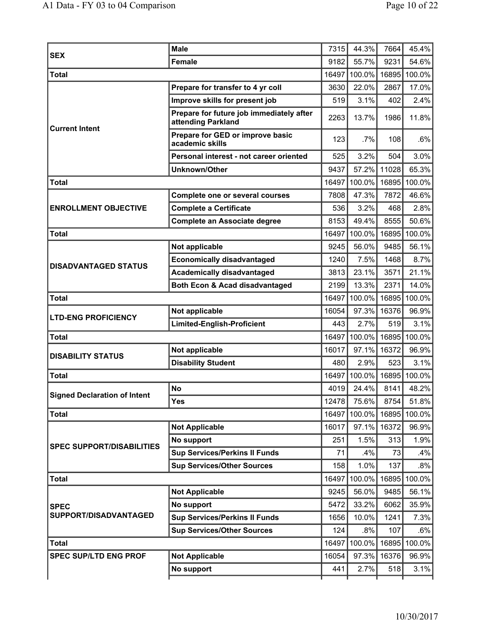| <b>SEX</b>                          | <b>Male</b>                                                    | 7315  | 44.3%        | 7664  | 45.4%  |
|-------------------------------------|----------------------------------------------------------------|-------|--------------|-------|--------|
|                                     | <b>Female</b>                                                  | 9182  | 55.7%        | 9231  | 54.6%  |
| <b>Total</b>                        |                                                                |       | 16497 100.0% | 16895 | 100.0% |
|                                     | Prepare for transfer to 4 yr coll                              | 3630  | 22.0%        | 2867  | 17.0%  |
|                                     | Improve skills for present job                                 | 519   | 3.1%         | 402   | 2.4%   |
| <b>Current Intent</b>               | Prepare for future job immediately after<br>attending Parkland | 2263  | 13.7%        | 1986  | 11.8%  |
|                                     | Prepare for GED or improve basic<br>academic skills            | 123   | .7%          | 108   | .6%    |
|                                     | Personal interest - not career oriented                        | 525   | 3.2%         | 504   | 3.0%   |
|                                     | <b>Unknown/Other</b>                                           | 9437  | 57.2%        | 11028 | 65.3%  |
| <b>Total</b>                        |                                                                | 16497 | 100.0%       | 16895 | 100.0% |
|                                     | <b>Complete one or several courses</b>                         | 7808  | 47.3%        | 7872  | 46.6%  |
| <b>ENROLLMENT OBJECTIVE</b>         | <b>Complete a Certificate</b>                                  | 536   | 3.2%         | 468   | 2.8%   |
|                                     | <b>Complete an Associate degree</b>                            | 8153  | 49.4%        | 8555  | 50.6%  |
| <b>Total</b>                        |                                                                | 16497 | 100.0%       | 16895 | 100.0% |
|                                     | Not applicable                                                 | 9245  | 56.0%        | 9485  | 56.1%  |
|                                     | <b>Economically disadvantaged</b>                              | 1240  | 7.5%         | 1468  | 8.7%   |
| <b>DISADVANTAGED STATUS</b>         | <b>Academically disadvantaged</b>                              | 3813  | 23.1%        | 3571  | 21.1%  |
|                                     | <b>Both Econ &amp; Acad disadvantaged</b>                      | 2199  | 13.3%        | 2371  | 14.0%  |
| <b>Total</b>                        |                                                                | 16497 | 100.0%       | 16895 | 100.0% |
|                                     | Not applicable                                                 | 16054 | 97.3%        | 16376 | 96.9%  |
| <b>LTD-ENG PROFICIENCY</b>          | Limited-English-Proficient                                     | 443   | 2.7%         | 519   | 3.1%   |
| <b>Total</b>                        |                                                                | 16497 | 100.0%       | 16895 | 100.0% |
|                                     | Not applicable                                                 | 16017 | 97.1%        | 16372 | 96.9%  |
| <b>DISABILITY STATUS</b>            | <b>Disability Student</b>                                      | 480   | 2.9%         | 523   | 3.1%   |
| <b>Total</b>                        |                                                                | 16497 | 100.0%       | 16895 | 100.0% |
|                                     | <b>No</b>                                                      | 4019  | 24.4%        | 8141  | 48.2%  |
| <b>Signed Declaration of Intent</b> | <b>Yes</b>                                                     | 12478 | 75.6%        | 8754  | 51.8%  |
| <b>Total</b>                        |                                                                |       | 16497 100.0% | 16895 | 100.0% |
|                                     | <b>Not Applicable</b>                                          | 16017 | 97.1%        | 16372 | 96.9%  |
| <b>SPEC SUPPORT/DISABILITIES</b>    | No support                                                     | 251   | 1.5%         | 313   | 1.9%   |
|                                     | <b>Sup Services/Perkins II Funds</b>                           | 71    | .4%          | 73    | .4%    |
|                                     | <b>Sup Services/Other Sources</b>                              | 158   | 1.0%         | 137   | .8%    |
| <b>Total</b>                        |                                                                | 16497 | 100.0%       | 16895 | 100.0% |
|                                     | <b>Not Applicable</b>                                          | 9245  | 56.0%        | 9485  | 56.1%  |
| <b>SPEC</b>                         | No support                                                     | 5472  | 33.2%        | 6062  | 35.9%  |
| SUPPORT/DISADVANTAGED               | <b>Sup Services/Perkins II Funds</b>                           | 1656  | 10.0%        | 1241  | 7.3%   |
|                                     | <b>Sup Services/Other Sources</b>                              | 124   | .8%          | 107   | .6%    |
| <b>Total</b>                        |                                                                | 16497 | 100.0%       | 16895 | 100.0% |
| <b>SPEC SUP/LTD ENG PROF</b>        | <b>Not Applicable</b>                                          | 16054 | 97.3%        | 16376 | 96.9%  |
|                                     | No support                                                     | 441   | 2.7%         | 518   | 3.1%   |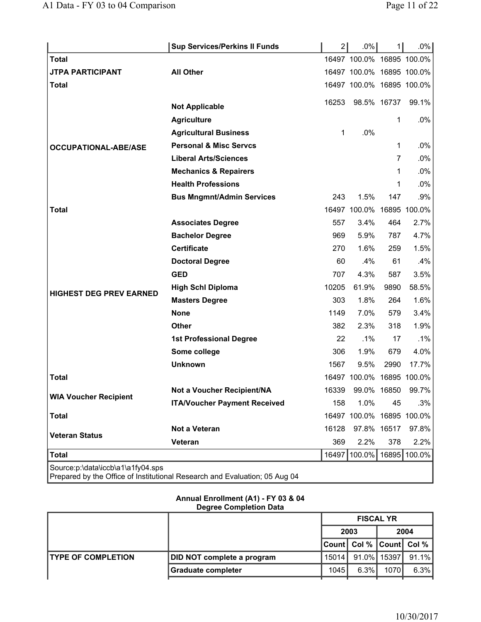|                                   | <b>Sup Services/Perkins II Funds</b>                                       | 2     | $.0\%$                    | 1    | $.0\%$ |
|-----------------------------------|----------------------------------------------------------------------------|-------|---------------------------|------|--------|
| <b>Total</b>                      |                                                                            |       | 16497 100.0% 16895 100.0% |      |        |
| <b>JTPA PARTICIPANT</b>           | <b>All Other</b>                                                           |       | 16497 100.0% 16895 100.0% |      |        |
| <b>Total</b>                      |                                                                            |       | 16497 100.0% 16895 100.0% |      |        |
|                                   |                                                                            | 16253 | 98.5% 16737               |      | 99.1%  |
|                                   | <b>Not Applicable</b>                                                      |       |                           |      |        |
|                                   | <b>Agriculture</b>                                                         |       |                           | 1    | .0%    |
|                                   | <b>Agricultural Business</b>                                               | 1     | .0%                       |      |        |
| <b>OCCUPATIONAL-ABE/ASE</b>       | <b>Personal &amp; Misc Servcs</b>                                          |       |                           | 1    | .0%    |
|                                   | <b>Liberal Arts/Sciences</b>                                               |       |                           | 7    | $.0\%$ |
|                                   | <b>Mechanics &amp; Repairers</b>                                           |       |                           | 1    | .0%    |
|                                   | <b>Health Professions</b>                                                  |       |                           | 1    | $.0\%$ |
|                                   | <b>Bus Mngmnt/Admin Services</b>                                           | 243   | 1.5%                      | 147  | .9%    |
| <b>Total</b>                      |                                                                            |       | 16497 100.0% 16895 100.0% |      |        |
|                                   | <b>Associates Degree</b>                                                   | 557   | 3.4%                      | 464  | 2.7%   |
|                                   | <b>Bachelor Degree</b>                                                     | 969   | 5.9%                      | 787  | 4.7%   |
|                                   | <b>Certificate</b>                                                         | 270   | 1.6%                      | 259  | 1.5%   |
|                                   | <b>Doctoral Degree</b>                                                     | 60    | $.4\%$                    | 61   | .4%    |
|                                   | <b>GED</b>                                                                 | 707   | 4.3%                      | 587  | 3.5%   |
| <b>HIGHEST DEG PREV EARNED</b>    | <b>High Schl Diploma</b>                                                   | 10205 | 61.9%                     | 9890 | 58.5%  |
|                                   | <b>Masters Degree</b>                                                      | 303   | 1.8%                      | 264  | 1.6%   |
|                                   | <b>None</b>                                                                | 1149  | 7.0%                      | 579  | 3.4%   |
|                                   | <b>Other</b>                                                               | 382   | 2.3%                      | 318  | 1.9%   |
|                                   | <b>1st Professional Degree</b>                                             | 22    | $.1\%$                    | 17   | $.1\%$ |
|                                   | Some college                                                               | 306   | 1.9%                      | 679  | 4.0%   |
|                                   | <b>Unknown</b>                                                             | 1567  | 9.5%                      | 2990 | 17.7%  |
| Total                             |                                                                            |       | 16497 100.0% 16895 100.0% |      |        |
|                                   | Not a Voucher Recipient/NA                                                 | 16339 | 99.0% 16850               |      | 99.7%  |
| <b>WIA Voucher Recipient</b>      | <b>ITA/Voucher Payment Received</b>                                        | 158   | 1.0%                      | 45   | .3%    |
| <b>Total</b>                      |                                                                            |       | 16497 100.0% 16895 100.0% |      |        |
|                                   | Not a Veteran                                                              | 16128 | 97.8% 16517               |      | 97.8%  |
| <b>Veteran Status</b>             | Veteran                                                                    | 369   | 2.2%                      | 378  | 2.2%   |
| <b>Total</b>                      |                                                                            | 16497 | 100.0% 16895 100.0%       |      |        |
| Source:p:\data\iccb\a1\a1fy04.sps | Prepared by the Office of Institutional Research and Evaluation; 05 Aug 04 |       |                           |      |        |

## **Annual Enrollment (A1) - FY 03 & 04 Degree Completion Data**

|                            |                            | <b>FISCAL YR</b> |                               |        |          |
|----------------------------|----------------------------|------------------|-------------------------------|--------|----------|
|                            |                            |                  | 2003                          |        | 2004     |
|                            |                            |                  | Count   Col %   Count   Col % |        |          |
| <b>ITYPE OF COMPLETION</b> | DID NOT complete a program | 15014            | $91.0\%$                      | 15397  | $91.1\%$ |
|                            | <b>Graduate completer</b>  | 1045 l           | $6.3\%$                       | 1070 l | 6.3%     |
|                            |                            |                  |                               |        |          |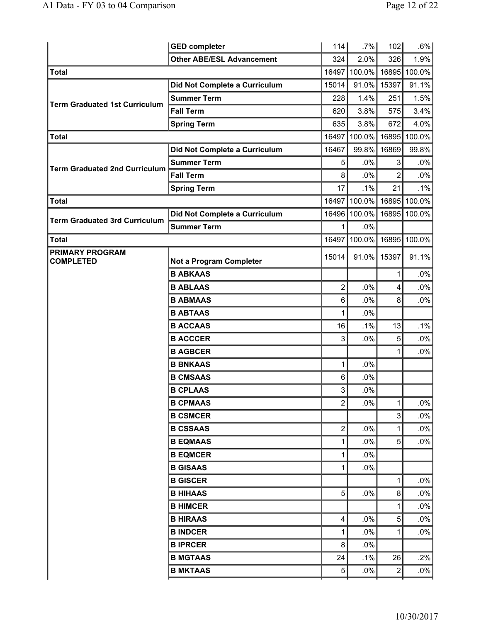|                                            | <b>GED completer</b>             | 114            | $.7\%$ | 102            | .6%          |
|--------------------------------------------|----------------------------------|----------------|--------|----------------|--------------|
|                                            | <b>Other ABE/ESL Advancement</b> | 324            | 2.0%   | 326            | 1.9%         |
| <b>Total</b>                               |                                  | 16497          | 100.0% |                | 16895 100.0% |
|                                            | Did Not Complete a Curriculum    | 15014          | 91.0%  | 15397          | 91.1%        |
| <b>Term Graduated 1st Curriculum</b>       | <b>Summer Term</b>               | 228            | 1.4%   | 251            | 1.5%         |
|                                            | <b>Fall Term</b>                 | 620            | 3.8%   | 575            | 3.4%         |
|                                            | <b>Spring Term</b>               | 635            | 3.8%   | 672            | 4.0%         |
| <b>Total</b>                               |                                  | 16497          | 100.0% | 16895          | 100.0%       |
|                                            | Did Not Complete a Curriculum    | 16467          | 99.8%  | 16869          | 99.8%        |
| <b>Term Graduated 2nd Curriculum</b>       | <b>Summer Term</b>               | 5              | .0%    | 3              | $.0\%$       |
|                                            | <b>Fall Term</b>                 | 8              | .0%    | 2              | $.0\%$       |
|                                            | <b>Spring Term</b>               | 17             | .1%    | 21             | $.1\%$       |
| <b>Total</b>                               |                                  | 16497          | 100.0% | 16895          | 100.0%       |
| <b>Term Graduated 3rd Curriculum</b>       | Did Not Complete a Curriculum    | 16496          | 100.0% | 16895          | 100.0%       |
|                                            | <b>Summer Term</b>               | 1              | .0%    |                |              |
| <b>Total</b>                               |                                  | 16497          | 100.0% |                | 16895 100.0% |
| <b>PRIMARY PROGRAM</b><br><b>COMPLETED</b> | Not a Program Completer          | 15014          | 91.0%  | 15397          | 91.1%        |
|                                            | <b>B ABKAAS</b>                  |                |        | 1              | .0%          |
|                                            | <b>B ABLAAS</b>                  | 2              | .0%    | 4              | $.0\%$       |
|                                            | <b>B ABMAAS</b>                  | 6              | .0%    | 8              | $.0\%$       |
|                                            | <b>B ABTAAS</b>                  | 1              | .0%    |                |              |
|                                            | <b>B ACCAAS</b>                  | 16             | .1%    | 13             | .1%          |
|                                            | <b>B ACCCER</b>                  | 3              | .0%    | 5              | $.0\%$       |
|                                            | <b>B AGBCER</b>                  |                |        |                | $.0\%$       |
|                                            | <b>B BNKAAS</b>                  | 1              | .0%    |                |              |
|                                            | <b>B CMSAAS</b>                  | 6              | .0%    |                |              |
|                                            | <b>B CPLAAS</b>                  | 3              | .0%    |                |              |
|                                            | <b>B CPMAAS</b>                  | 2              | .0%    | 1              | $.0\%$       |
|                                            | <b>B CSMCER</b>                  |                |        | 3              | $.0\%$       |
|                                            | <b>B CSSAAS</b>                  | $\overline{2}$ | .0%    | 1              | $.0\%$       |
|                                            | <b>B EQMAAS</b>                  | 1              | .0%    | 5              | $.0\%$       |
|                                            | <b>B EQMCER</b>                  | 1              | .0%    |                |              |
|                                            | <b>B GISAAS</b>                  | 1              | .0%    |                |              |
|                                            | <b>B GISCER</b>                  |                |        | 1              | $.0\%$       |
|                                            | <b>B HIHAAS</b>                  | 5              | .0%    | 8              | $.0\%$       |
|                                            | <b>B HIMCER</b>                  |                |        | 1              | $.0\%$       |
|                                            | <b>B HIRAAS</b>                  | 4              | .0%    | 5              | $.0\%$       |
|                                            | <b>B INDCER</b>                  | 1              | .0%    | 1              | $.0\%$       |
|                                            | <b>BIPRCER</b>                   | 8              | .0%    |                |              |
|                                            | <b>B MGTAAS</b>                  | 24             | .1%    | 26             | .2%          |
|                                            | <b>B MKTAAS</b>                  | 5              | .0%    | $\overline{c}$ | $.0\%$       |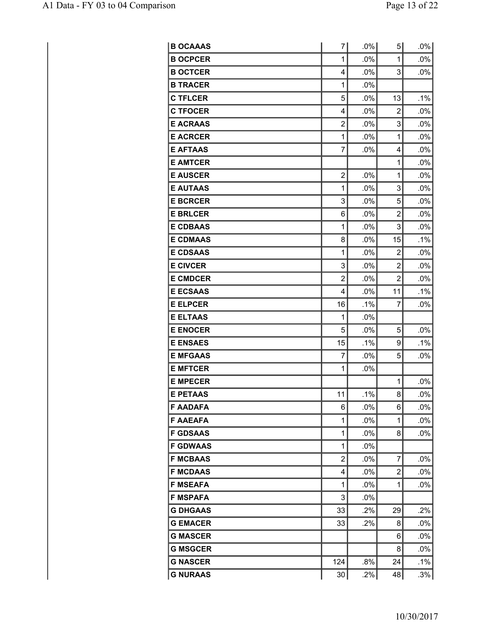| <b>B OCAAAS</b> | 7              | .0%    | 5 <sup>1</sup> | $.0\%$ |
|-----------------|----------------|--------|----------------|--------|
| <b>B OCPCER</b> | 1              | .0%    | 1              | .0%    |
| <b>B OCTCER</b> | 4              | .0%    | 3              | .0%    |
| <b>B TRACER</b> | 1              | .0%    |                |        |
| <b>C TFLCER</b> | 5              | .0%    | 13             | .1%    |
| <b>C TFOCER</b> | 4              | .0%    | 2              | .0%    |
| <b>E ACRAAS</b> | $\overline{2}$ | .0%    | 3              | .0%    |
| <b>E ACRCER</b> | 1              | .0%    | 1              | .0%    |
| <b>E AFTAAS</b> | 7              | .0%    | 4              | .0%    |
| <b>E AMTCER</b> |                |        | 1              | .0%    |
| <b>E AUSCER</b> | $\overline{2}$ | .0%    | 1              | .0%    |
| <b>E AUTAAS</b> | 1              | .0%    | 3              | $.0\%$ |
| <b>E BCRCER</b> | 3              | .0%    | 5              | .0%    |
| <b>E BRLCER</b> | 6              | .0%    | $\overline{2}$ | .0%    |
| <b>E CDBAAS</b> | 1              | .0%    | 3              | .0%    |
| <b>E CDMAAS</b> | 8              | .0%    | 15             | .1%    |
| <b>E CDSAAS</b> | 1              | .0%    | $\overline{2}$ | .0%    |
| <b>E CIVCER</b> | 3              | .0%    | $\overline{2}$ | .0%    |
| <b>E CMDCER</b> | $\overline{2}$ | .0%    | $\overline{2}$ | .0%    |
| <b>E ECSAAS</b> | $\overline{4}$ | .0%    | 11             | .1%    |
| <b>E ELPCER</b> | 16             | .1%    | 7              | .0%    |
| <b>E ELTAAS</b> | 1              | .0%    |                |        |
| <b>E ENOCER</b> | 5              | .0%    | 5              | .0%    |
| <b>E ENSAES</b> | 15             | .1%    | 9              | .1%    |
| <b>E MFGAAS</b> | 7              | .0%    | 5              | .0%    |
| <b>E MFTCER</b> | 1              | .0%    |                |        |
| <b>E MPECER</b> |                |        | 1              | .0%    |
| <b>E PETAAS</b> | 11             | .1%    | 8              | .0%    |
| <b>F AADAFA</b> | 6              | .0%    | 6              | .0%    |
| <b>F AAEAFA</b> | 1              | .0%    | 1              | .0%    |
| <b>F GDSAAS</b> | 1              | .0%    | 8              | .0%    |
| <b>F GDWAAS</b> | 1              | .0%    |                |        |
| <b>F MCBAAS</b> | $\overline{2}$ | $.0\%$ | 7              | .0%    |
| <b>F MCDAAS</b> | 4              | .0%    | $\overline{c}$ | .0%    |
| <b>F MSEAFA</b> | 1              | .0%    | 1              | .0%    |
| <b>F MSPAFA</b> | 3              | .0%    |                |        |
| <b>G DHGAAS</b> | 33             | .2%    | 29             | .2%    |
| <b>G EMACER</b> | 33             | .2%    | 8              | $.0\%$ |
| <b>G MASCER</b> |                |        | 6              | .0%    |
| <b>G MSGCER</b> |                |        | 8              | $.0\%$ |
| <b>G NASCER</b> | 124            | .8%    | 24             | .1%    |
| <b>G NURAAS</b> | 30             | $.2\%$ | 48             | .3%    |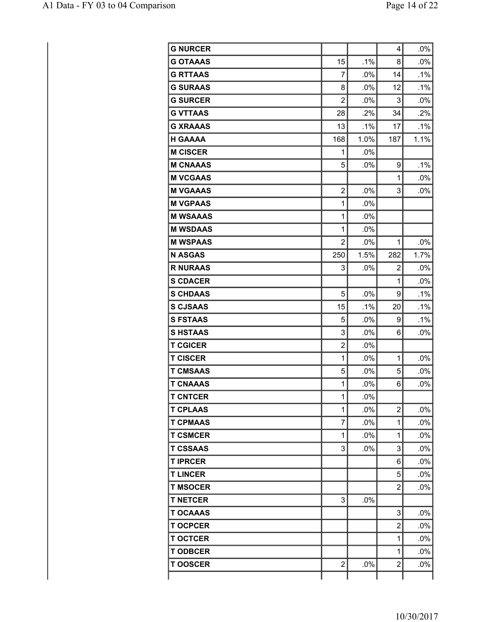| <b>G NURCER</b> |                |      | 4              | .0%    |
|-----------------|----------------|------|----------------|--------|
| <b>G OTAAAS</b> | 15             | .1%  | 8              | .0%    |
| <b>G RTTAAS</b> | 7              | .0%  | 14             | .1%    |
| <b>G SURAAS</b> | 8              | .0%  | 12             | .1%    |
| <b>G SURCER</b> | $\overline{2}$ | .0%  | 3              | .0%    |
| <b>G VTTAAS</b> | 28             | .2%  | 34             | .2%    |
| <b>G XRAAAS</b> | 13             | .1%  | 17             | .1%    |
| <b>H GAAAA</b>  | 168            | 1.0% | 187            | 1.1%   |
| <b>M CISCER</b> | 1              | .0%  |                |        |
| <b>M CNAAAS</b> | 5              | .0%  | 9              | .1%    |
| <b>M VCGAAS</b> |                |      | 1              | .0%    |
| <b>M VGAAAS</b> | 2              | .0%  | 3              | .0%    |
| <b>M VGPAAS</b> | 1              | .0%  |                |        |
| <b>M WSAAAS</b> | 1              | .0%  |                |        |
| <b>M WSDAAS</b> | 1              | .0%  |                |        |
| <b>M WSPAAS</b> | $\overline{2}$ | .0%  | 1              | .0%    |
| <b>N ASGAS</b>  | 250            | 1.5% | 282            | 1.7%   |
| <b>R NURAAS</b> | 3              | .0%  | 2              | .0%    |
| <b>S CDACER</b> |                |      | 1              | .0%    |
| <b>S CHDAAS</b> | 5              | .0%  | 9              | .1%    |
| <b>S CJSAAS</b> | 15             | .1%  | 20             | .1%    |
| <b>S FSTAAS</b> | 5              | .0%  | 9              | .1%    |
| <b>SHSTAAS</b>  | 3              | .0%  | 6              | .0%    |
| <b>T CGICER</b> | $\overline{2}$ | .0%  |                |        |
| <b>T CISCER</b> | $\mathbf{1}$   | .0%  | 1              | .0%    |
| <b>T CMSAAS</b> | 5              | .0%  | 5              | .0%    |
| <b>T CNAAAS</b> | 1              | .0%  | 6              | .0%    |
| <b>T CNTCER</b> | 1              | .0%  |                |        |
| <b>T CPLAAS</b> | 1              | .0%  | $\overline{2}$ | .0%    |
| <b>T CPMAAS</b> | 7              | .0%  | 1              | .0%    |
| <b>T CSMCER</b> | 1              | .0%  | 1              | $.0\%$ |
| <b>T CSSAAS</b> | 3              | .0%  | 3              | $.0\%$ |
| <b>TIPRCER</b>  |                |      | 6              | .0%    |
| <b>T LINCER</b> |                |      | 5              | .0%    |
| <b>T MSOCER</b> |                |      | $\overline{2}$ | .0%    |
| <b>T NETCER</b> | 3              | .0%  |                |        |
| <b>T OCAAAS</b> |                |      | 3              | $.0\%$ |
| <b>T OCPCER</b> |                |      | $\overline{2}$ | .0%    |
| <b>T OCTCER</b> |                |      | 1              | .0%    |
| <b>TODBCER</b>  |                |      | 1              | .0%    |
| <b>TOOSCER</b>  | $\overline{2}$ | .0%  | $\overline{2}$ | .0%    |
|                 |                |      |                |        |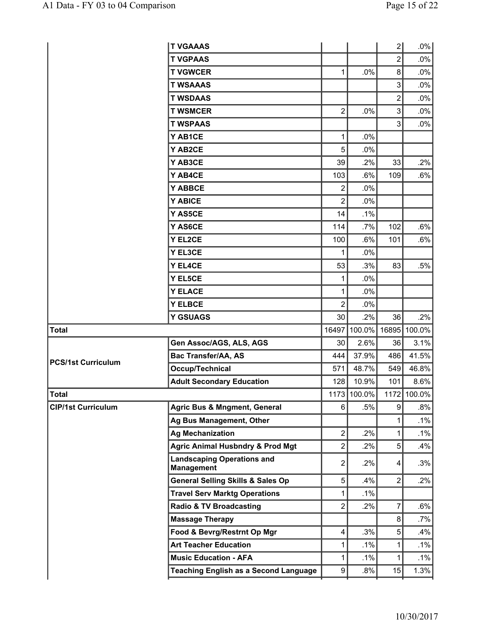|                           | <b>T VGAAAS</b>                                        |                |             | 2              | $.0\%$       |
|---------------------------|--------------------------------------------------------|----------------|-------------|----------------|--------------|
|                           | <b>T VGPAAS</b>                                        |                |             | $\overline{c}$ | $.0\%$       |
|                           | <b>T VGWCER</b>                                        | 1              | .0%         | 8              | .0%          |
|                           | <b>T WSAAAS</b>                                        |                |             | 3              | .0%          |
|                           | <b>T WSDAAS</b>                                        |                |             | $\overline{c}$ | .0%          |
|                           | <b>T WSMCER</b>                                        | $\overline{2}$ | .0%         | 3              | $.0\%$       |
|                           | <b>T WSPAAS</b>                                        |                |             | 3              | .0%          |
|                           | Y AB1CE                                                | 1              | .0%         |                |              |
|                           | Y AB2CE                                                | 5              | .0%         |                |              |
|                           | Y AB3CE                                                | 39             | .2%         | 33             | .2%          |
|                           | Y AB4CE                                                | 103            | .6%         | 109            | .6%          |
|                           | Y ABBCE                                                | $\overline{2}$ | .0%         |                |              |
|                           | Y ABICE                                                | 2              | .0%         |                |              |
|                           | Y AS5CE                                                | 14             | .1%         |                |              |
|                           | Y AS6CE                                                | 114            | .7%         | 102            | .6%          |
|                           | Y EL2CE                                                | 100            | .6%         | 101            | .6%          |
|                           | Y EL3CE                                                | 1              | .0%         |                |              |
|                           | Y EL4CE                                                | 53             | .3%         | 83             | .5%          |
|                           | Y EL5CE                                                | 1              | .0%         |                |              |
|                           | <b>Y ELACE</b>                                         | 1              | .0%         |                |              |
|                           | <b>Y ELBCE</b>                                         | 2              | .0%         |                |              |
|                           | <b>Y GSUAGS</b>                                        | 30             | .2%         | 36             | .2%          |
| <b>Total</b>              |                                                        | 16497          | 100.0%      |                | 16895 100.0% |
|                           | Gen Assoc/AGS, ALS, AGS                                | 30             | 2.6%        | 36             | 3.1%         |
| <b>PCS/1st Curriculum</b> | <b>Bac Transfer/AA, AS</b>                             | 444            | 37.9%       | 486            | 41.5%        |
|                           | Occup/Technical                                        | 571            | 48.7%       | 549            | 46.8%        |
|                           | <b>Adult Secondary Education</b>                       | 128            | 10.9%       | 101            | 8.6%         |
| <b>Total</b>              |                                                        |                | 1173 100.0% |                | 1172 100.0%  |
| <b>CIP/1st Curriculum</b> | <b>Agric Bus &amp; Mngment, General</b>                | 6              | $.5\%$      | 9              | .8%          |
|                           | Ag Bus Management, Other                               |                |             | 1              | $.1\%$       |
|                           | <b>Ag Mechanization</b>                                | $\overline{2}$ | .2%         | 1              | .1%          |
|                           | <b>Agric Animal Husbndry &amp; Prod Mgt</b>            | 2              | $.2\%$      | 5              | .4%          |
|                           | <b>Landscaping Operations and</b><br><b>Management</b> | $\overline{2}$ | $.2\%$      | 4              | .3%          |
|                           | <b>General Selling Skills &amp; Sales Op</b>           | 5              | .4%         | $\overline{2}$ | $.2\%$       |
|                           | <b>Travel Serv Marktg Operations</b>                   | 1              | $.1\%$      |                |              |
|                           | <b>Radio &amp; TV Broadcasting</b>                     | $\overline{2}$ | $.2\%$      | 7              | $.6\%$       |
|                           | <b>Massage Therapy</b>                                 |                |             | 8 <sup>1</sup> | $.7\%$       |
|                           | Food & Bevrg/Restrnt Op Mgr                            | 4              | .3%         | 5              | .4%          |
|                           | <b>Art Teacher Education</b>                           | 1              | $.1\%$      | 1              | $.1\%$       |
|                           | <b>Music Education - AFA</b>                           | 1              | $.1\%$      | 1              | $.1\%$       |
|                           | <b>Teaching English as a Second Language</b>           | 9              | .8%         | 15             | 1.3%         |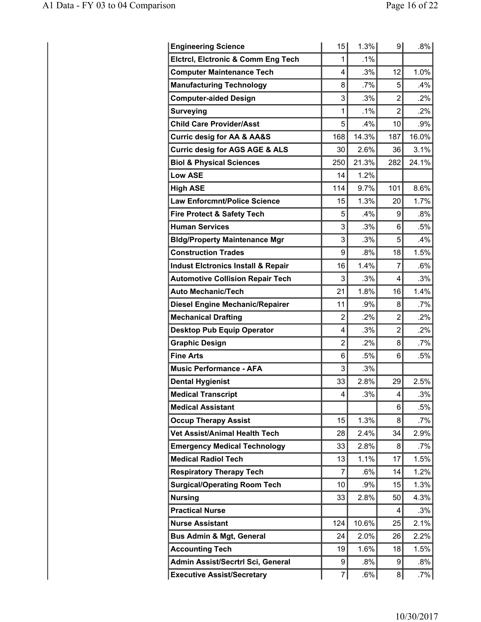| <b>Engineering Science</b>                    | 15 <sup>2</sup> | 1.3%   | 91             | .8%     |
|-----------------------------------------------|-----------------|--------|----------------|---------|
| <b>Elctrcl, Elctronic &amp; Comm Eng Tech</b> | 1               | $.1\%$ |                |         |
| <b>Computer Maintenance Tech</b>              | 4               | .3%    | 12             | 1.0%    |
| <b>Manufacturing Technology</b>               | 8               | $.7\%$ | 5              | $.4\%$  |
| <b>Computer-aided Design</b>                  | 3               | .3%    | $\overline{2}$ | .2%     |
| <b>Surveying</b>                              | 1               | $.1\%$ | $\overline{2}$ | .2%     |
| <b>Child Care Provider/Asst</b>               | 5               | .4%    | 10             | .9%     |
| <b>Curric desig for AA &amp; AA&amp;S</b>     | 168             | 14.3%  | 187            | 16.0%   |
| <b>Curric desig for AGS AGE &amp; ALS</b>     | 30              | 2.6%   | 36             | 3.1%    |
| <b>Biol &amp; Physical Sciences</b>           | 250             | 21.3%  | 282            | 24.1%   |
| <b>Low ASE</b>                                | 14              | 1.2%   |                |         |
| <b>High ASE</b>                               | 114             | 9.7%   | 101            | 8.6%    |
| <b>Law Enforcmnt/Police Science</b>           | 15              | 1.3%   | 20             | 1.7%    |
| <b>Fire Protect &amp; Safety Tech</b>         | 5               | $.4\%$ | 9              | $.8\%$  |
| <b>Human Services</b>                         | 3               | .3%    | 6              | .5%     |
| <b>Bldg/Property Maintenance Mgr</b>          | 3               | .3%    | 5              | .4%     |
| <b>Construction Trades</b>                    | 9               | .8%    | 18             | 1.5%    |
| <b>Indust Elctronics Install &amp; Repair</b> | 16              | 1.4%   | 7              | .6%     |
| <b>Automotive Collision Repair Tech</b>       | 3               | .3%    | 4              | .3%     |
| <b>Auto Mechanic/Tech</b>                     | 21              | 1.8%   | 16             | 1.4%    |
| <b>Diesel Engine Mechanic/Repairer</b>        | 11              | .9%    | 8              | .7%     |
| <b>Mechanical Drafting</b>                    | $\overline{2}$  | .2%    | $\overline{2}$ | .2%     |
| <b>Desktop Pub Equip Operator</b>             | 4               | .3%    | $\overline{2}$ | .2%     |
| <b>Graphic Design</b>                         | $\overline{2}$  | $.2\%$ | 8              | .7%     |
| <b>Fine Arts</b>                              | 6               | .5%    | 6              | .5%     |
| <b>Music Performance - AFA</b>                | 3               | .3%    |                |         |
| <b>Dental Hygienist</b>                       | 33              | 2.8%   | 29             | 2.5%    |
| <b>Medical Transcript</b>                     | 4               | .3%    | 4              | .3%     |
| <b>Medical Assistant</b>                      |                 |        | 6              | $.5\%$  |
| <b>Occup Therapy Assist</b>                   | 15              | 1.3%   | 8              | $.7\%$  |
| <b>Vet Assist/Animal Health Tech</b>          | 28              | 2.4%   | 34             | 2.9%    |
| <b>Emergency Medical Technology</b>           | 33              | 2.8%   | 8              | .7%     |
| <b>Medical Radiol Tech</b>                    | 13              | 1.1%   | 17             | $1.5\%$ |
| <b>Respiratory Therapy Tech</b>               | 7               | .6%    | 14             | 1.2%    |
| <b>Surgical/Operating Room Tech</b>           | 10              | $.9\%$ | 15             | 1.3%    |
| <b>Nursing</b>                                | 33              | 2.8%   | 50             | 4.3%    |
| <b>Practical Nurse</b>                        |                 |        | $\overline{4}$ | .3%     |
| <b>Nurse Assistant</b>                        | 124             | 10.6%  | 25             | 2.1%    |
| <b>Bus Admin &amp; Mgt, General</b>           | 24              | 2.0%   | 26             | 2.2%    |
| <b>Accounting Tech</b>                        | 19              | 1.6%   | 18             | 1.5%    |
| Admin Assist/Secrtrl Sci, General             | 9               | $.8\%$ | 9              | .8%     |
| <b>Executive Assist/Secretary</b>             | 7               | .6%    | 8 <sup>2</sup> | .7%     |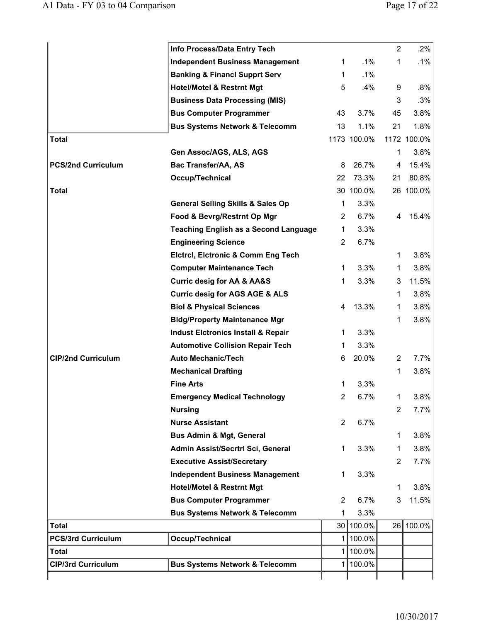|                           | Info Process/Data Entry Tech                  |                       |             | $\overline{2}$ | $.2\%$      |
|---------------------------|-----------------------------------------------|-----------------------|-------------|----------------|-------------|
|                           | <b>Independent Business Management</b>        | 1                     | $.1\%$      | 1              | $.1\%$      |
|                           | <b>Banking &amp; Financl Supprt Serv</b>      | 1                     | $.1\%$      |                |             |
|                           | <b>Hotel/Motel &amp; Restrnt Mgt</b>          | 5                     | .4%         | 9              | .8%         |
|                           | <b>Business Data Processing (MIS)</b>         |                       |             | 3              | .3%         |
|                           | <b>Bus Computer Programmer</b>                | 43                    | 3.7%        | 45             | 3.8%        |
|                           | <b>Bus Systems Network &amp; Telecomm</b>     | 13                    | 1.1%        | 21             | 1.8%        |
| <b>Total</b>              |                                               |                       | 1173 100.0% |                | 1172 100.0% |
|                           | Gen Assoc/AGS, ALS, AGS                       |                       |             | 1              | 3.8%        |
| <b>PCS/2nd Curriculum</b> | Bac Transfer/AA, AS                           | 8                     | 26.7%       | 4              | 15.4%       |
|                           | Occup/Technical                               | 22                    | 73.3%       | 21             | 80.8%       |
| <b>Total</b>              |                                               |                       | 30 100.0%   |                | 26 100.0%   |
|                           | <b>General Selling Skills &amp; Sales Op</b>  | 1                     | 3.3%        |                |             |
|                           | Food & Bevrg/Restrnt Op Mgr                   | $\mathbf{2}^{\prime}$ | 6.7%        | 4              | 15.4%       |
|                           | <b>Teaching English as a Second Language</b>  | $\mathbf 1$           | 3.3%        |                |             |
|                           | <b>Engineering Science</b>                    | $\overline{2}$        | 6.7%        |                |             |
|                           | <b>Elctrcl, Elctronic &amp; Comm Eng Tech</b> |                       |             | 1              | 3.8%        |
|                           | <b>Computer Maintenance Tech</b>              | 1                     | 3.3%        | 1              | 3.8%        |
|                           | <b>Curric desig for AA &amp; AA&amp;S</b>     | 1                     | 3.3%        | 3              | 11.5%       |
|                           | <b>Curric desig for AGS AGE &amp; ALS</b>     |                       |             | 1              | 3.8%        |
|                           | <b>Biol &amp; Physical Sciences</b>           | 4                     | 13.3%       | 1              | 3.8%        |
|                           | <b>Bldg/Property Maintenance Mgr</b>          |                       |             | 1              | 3.8%        |
|                           | <b>Indust Elctronics Install &amp; Repair</b> | 1                     | 3.3%        |                |             |
|                           | <b>Automotive Collision Repair Tech</b>       | 1                     | 3.3%        |                |             |
| <b>CIP/2nd Curriculum</b> | <b>Auto Mechanic/Tech</b>                     | 6                     | 20.0%       | 2              | 7.7%        |
|                           | <b>Mechanical Drafting</b>                    |                       |             | 1              | 3.8%        |
|                           | <b>Fine Arts</b>                              | 1                     | 3.3%        |                |             |
|                           | <b>Emergency Medical Technology</b>           | $\overline{2}$        | 6.7%        | 1              | 3.8%        |
|                           | <b>Nursing</b>                                |                       |             | 2              | 7.7%        |
|                           | <b>Nurse Assistant</b>                        | 2                     | 6.7%        |                |             |
|                           | <b>Bus Admin &amp; Mgt, General</b>           |                       |             | 1              | 3.8%        |
|                           | Admin Assist/Secrtrl Sci, General             | 1                     | 3.3%        | 1              | 3.8%        |
|                           | <b>Executive Assist/Secretary</b>             |                       |             | 2              | 7.7%        |
|                           | <b>Independent Business Management</b>        | 1                     | 3.3%        |                |             |
|                           | <b>Hotel/Motel &amp; Restrnt Mgt</b>          |                       |             | 1              | 3.8%        |
|                           | <b>Bus Computer Programmer</b>                | $\overline{2}$        | 6.7%        | 3              | 11.5%       |
|                           | <b>Bus Systems Network &amp; Telecomm</b>     | 1                     | 3.3%        |                |             |
| <b>Total</b>              |                                               |                       | 30 100.0%   |                | 26 100.0%   |
| <b>PCS/3rd Curriculum</b> | Occup/Technical                               | 1                     | 100.0%      |                |             |
| Total                     |                                               | 1                     | 100.0%      |                |             |
| <b>CIP/3rd Curriculum</b> | <b>Bus Systems Network &amp; Telecomm</b>     | 1                     | 100.0%      |                |             |
|                           |                                               |                       |             |                |             |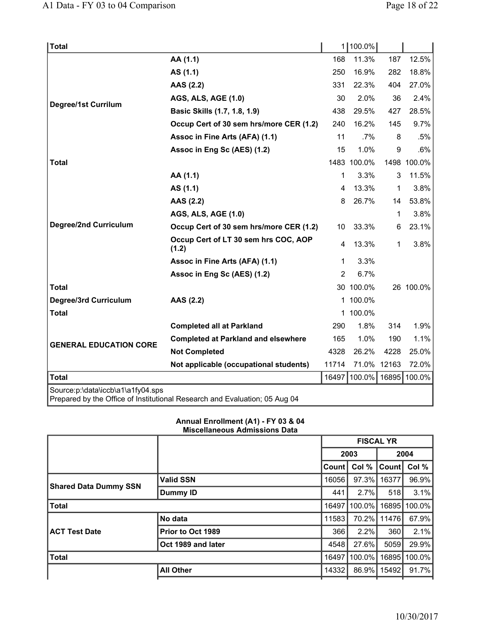| <b>Total</b>                      |                                                                            | 11             | 100.0%      |       |              |
|-----------------------------------|----------------------------------------------------------------------------|----------------|-------------|-------|--------------|
|                                   | AA (1.1)                                                                   | 168            | 11.3%       | 187   | 12.5%        |
|                                   | AS (1.1)                                                                   | 250            | 16.9%       | 282   | 18.8%        |
|                                   | AAS (2.2)                                                                  | 331            | 22.3%       | 404   | 27.0%        |
| Degree/1st Currilum               | <b>AGS, ALS, AGE (1.0)</b>                                                 | 30             | 2.0%        | 36    | 2.4%         |
|                                   | Basic Skills (1.7, 1.8, 1.9)                                               | 438            | 29.5%       | 427   | 28.5%        |
|                                   | Occup Cert of 30 sem hrs/more CER (1.2)                                    | 240            | 16.2%       | 145   | 9.7%         |
|                                   | Assoc in Fine Arts (AFA) (1.1)                                             | 11             | $.7\%$      | 8     | .5%          |
|                                   | Assoc in Eng Sc (AES) (1.2)                                                | 15             | 1.0%        | 9     | .6%          |
| <b>Total</b>                      |                                                                            |                | 1483 100.0% |       | 1498 100.0%  |
|                                   | AA (1.1)                                                                   | 1              | 3.3%        | 3     | 11.5%        |
|                                   | AS (1.1)                                                                   | 4              | 13.3%       | 1     | 3.8%         |
|                                   | AAS (2.2)                                                                  | 8              | 26.7%       | 14    | 53.8%        |
|                                   | AGS, ALS, AGE (1.0)                                                        |                |             | 1     | 3.8%         |
| <b>Degree/2nd Curriculum</b>      | Occup Cert of 30 sem hrs/more CER (1.2)                                    | 10             | 33.3%       | 6     | 23.1%        |
|                                   | Occup Cert of LT 30 sem hrs COC, AOP<br>(1.2)                              | 4              | 13.3%       | 1     | 3.8%         |
|                                   | Assoc in Fine Arts (AFA) (1.1)                                             | 1              | 3.3%        |       |              |
|                                   | Assoc in Eng Sc (AES) (1.2)                                                | $\overline{2}$ | 6.7%        |       |              |
| Total                             |                                                                            |                | 30 100.0%   |       | 26 100.0%    |
| Degree/3rd Curriculum             | AAS (2.2)                                                                  |                | 1 100.0%    |       |              |
| <b>Total</b>                      |                                                                            |                | 1 100.0%    |       |              |
|                                   | <b>Completed all at Parkland</b>                                           | 290            | 1.8%        | 314   | 1.9%         |
| <b>GENERAL EDUCATION CORE</b>     | <b>Completed at Parkland and elsewhere</b>                                 | 165            | 1.0%        | 190   | 1.1%         |
|                                   | <b>Not Completed</b>                                                       | 4328           | 26.2%       | 4228  | 25.0%        |
|                                   | Not applicable (occupational students)                                     | 11714          | 71.0%       | 12163 | 72.0%        |
| <b>Total</b>                      |                                                                            | 16497          | 100.0%      |       | 16895 100.0% |
| Source:p:\data\iccb\a1\a1fy04.sps | Prepared by the Office of Institutional Research and Evaluation; 05 Aug 04 |                |             |       |              |

## **Annual Enrollment (A1) - FY 03 & 04 Miscellaneous Admissions Data**

|                              |                    | <b>FISCAL YR</b> |        |       |        |
|------------------------------|--------------------|------------------|--------|-------|--------|
|                              |                    |                  | 2003   |       | 2004   |
|                              |                    | Count            | Col %  | Count | Col %  |
|                              | <b>Valid SSN</b>   | 16056            | 97.3%  | 16377 | 96.9%  |
| <b>Shared Data Dummy SSN</b> | <b>Dummy ID</b>    | 441              | 2.7%   | 518   | 3.1%   |
| <b>Total</b>                 |                    | 16497            | 100.0% | 16895 | 100.0% |
|                              | No data            | 11583            | 70.2%  | 11476 | 67.9%  |
| <b>ACT Test Date</b>         | Prior to Oct 1989  | 366              | 2.2%   | 360   | 2.1%   |
|                              | Oct 1989 and later | 4548             | 27.6%  | 5059  | 29.9%  |
| <b>Total</b>                 |                    | 16497            | 100.0% | 16895 | 100.0% |
|                              | <b>All Other</b>   | 14332            | 86.9%  | 15492 | 91.7%  |
|                              |                    |                  |        |       |        |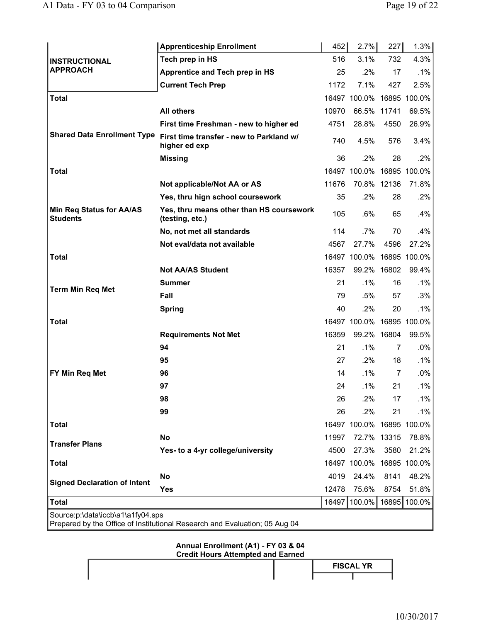|                                                                                                                 | <b>Apprenticeship Enrollment</b>                            | 452   | 2.7%                      | 227  | 1.3%         |  |  |
|-----------------------------------------------------------------------------------------------------------------|-------------------------------------------------------------|-------|---------------------------|------|--------------|--|--|
| <b>INSTRUCTIONAL</b><br><b>APPROACH</b>                                                                         | Tech prep in HS                                             | 516   | 3.1%                      | 732  | 4.3%         |  |  |
|                                                                                                                 | Apprentice and Tech prep in HS                              | 25    | $.2\%$                    | 17   | .1%          |  |  |
|                                                                                                                 | <b>Current Tech Prep</b>                                    | 1172  | 7.1%                      | 427  | 2.5%         |  |  |
| Total                                                                                                           |                                                             |       | 16497 100.0% 16895 100.0% |      |              |  |  |
|                                                                                                                 | <b>All others</b>                                           | 10970 | 66.5% 11741               |      | 69.5%        |  |  |
|                                                                                                                 | First time Freshman - new to higher ed                      | 4751  | 28.8%                     | 4550 | 26.9%        |  |  |
| <b>Shared Data Enrollment Type</b>                                                                              | First time transfer - new to Parkland w/<br>higher ed exp   | 740   | 4.5%                      | 576  | 3.4%         |  |  |
|                                                                                                                 | <b>Missing</b>                                              | 36    | .2%                       | 28   | .2%          |  |  |
| <b>Total</b>                                                                                                    |                                                             |       | 16497 100.0% 16895 100.0% |      |              |  |  |
|                                                                                                                 | Not applicable/Not AA or AS                                 | 11676 | 70.8% 12136               |      | 71.8%        |  |  |
|                                                                                                                 | Yes, thru hign school coursework                            | 35    | .2%                       | 28   | $.2\%$       |  |  |
| <b>Min Req Status for AA/AS</b><br><b>Students</b>                                                              | Yes, thru means other than HS coursework<br>(testing, etc.) | 105   | $.6\%$                    | 65   | .4%          |  |  |
|                                                                                                                 | No, not met all standards                                   | 114   | $.7\%$                    | 70   | .4%          |  |  |
|                                                                                                                 | Not eval/data not available                                 | 4567  | 27.7%                     | 4596 | 27.2%        |  |  |
| <b>Total</b>                                                                                                    |                                                             |       | 16497 100.0% 16895 100.0% |      |              |  |  |
|                                                                                                                 | <b>Not AA/AS Student</b>                                    | 16357 | 99.2% 16802               |      | 99.4%        |  |  |
| <b>Term Min Req Met</b>                                                                                         | <b>Summer</b>                                               | 21    | $.1\%$                    | 16   | $.1\%$       |  |  |
|                                                                                                                 | Fall                                                        | 79    | $.5\%$                    | 57   | .3%          |  |  |
|                                                                                                                 | <b>Spring</b>                                               | 40    | $.2\%$                    | 20   | $.1\%$       |  |  |
| <b>Total</b>                                                                                                    |                                                             |       | 16497 100.0% 16895 100.0% |      |              |  |  |
|                                                                                                                 | <b>Requirements Not Met</b>                                 | 16359 | 99.2% 16804               |      | 99.5%        |  |  |
|                                                                                                                 | 94                                                          | 21    | $.1\%$                    | 7    | $.0\%$       |  |  |
|                                                                                                                 | 95                                                          | 27    | .2%                       | 18   | $.1\%$       |  |  |
| FY Min Req Met                                                                                                  | 96                                                          | 14    | $.1\%$                    | 7    | $.0\%$       |  |  |
|                                                                                                                 | 97                                                          | 24    | $.1\%$                    | 21   | $.1\%$       |  |  |
|                                                                                                                 | 98                                                          | 26    | .2%                       | 17   | .1%          |  |  |
|                                                                                                                 | 99                                                          | 26    | .2%                       | 21   | .1%          |  |  |
| <b>Total</b>                                                                                                    |                                                             |       | 16497 100.0% 16895 100.0% |      |              |  |  |
| <b>Transfer Plans</b>                                                                                           | No                                                          | 11997 | 72.7% 13315               |      | 78.8%        |  |  |
|                                                                                                                 | Yes- to a 4-yr college/university                           | 4500  | 27.3%                     | 3580 | 21.2%        |  |  |
| <b>Total</b>                                                                                                    |                                                             |       | 16497 100.0% 16895 100.0% |      |              |  |  |
| <b>Signed Declaration of Intent</b>                                                                             | No                                                          | 4019  | 24.4%                     | 8141 | 48.2%        |  |  |
|                                                                                                                 | Yes                                                         | 12478 | 75.6%                     | 8754 | 51.8%        |  |  |
| <b>Total</b>                                                                                                    |                                                             |       | 16497   100.0%            |      | 16895 100.0% |  |  |
| Source:p:\data\iccb\a1\a1fy04.sps<br>Prepared by the Office of Institutional Research and Evaluation; 05 Aug 04 |                                                             |       |                           |      |              |  |  |

# **Annual Enrollment (A1) - FY 03 & 04 Credit Hours Attempted and Earned**

| <b>Credit Hours Attempted and Earned</b> |  |                  |  |  |
|------------------------------------------|--|------------------|--|--|
|                                          |  | <b>FISCAL YR</b> |  |  |
|                                          |  |                  |  |  |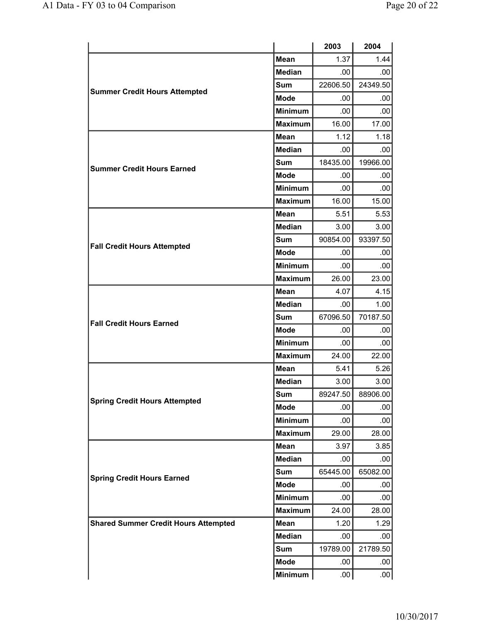|                                             |                | 2003     | 2004     |
|---------------------------------------------|----------------|----------|----------|
|                                             | <b>Mean</b>    | 1.37     | 1.44     |
|                                             | <b>Median</b>  | .00      | .00      |
|                                             | <b>Sum</b>     | 22606.50 | 24349.50 |
| <b>Summer Credit Hours Attempted</b>        | <b>Mode</b>    | .00      | .00      |
|                                             | <b>Minimum</b> | .00      | .00      |
|                                             | <b>Maximum</b> | 16.00    | 17.00    |
|                                             | <b>Mean</b>    | 1.12     | 1.18     |
|                                             | <b>Median</b>  | .00.     | .00.     |
| <b>Summer Credit Hours Earned</b>           | <b>Sum</b>     | 18435.00 | 19966.00 |
|                                             | <b>Mode</b>    | .00      | .00.     |
|                                             | <b>Minimum</b> | .00.     | .00      |
|                                             | <b>Maximum</b> | 16.00    | 15.00    |
| <b>Mean</b>                                 |                | 5.51     | 5.53     |
|                                             | <b>Median</b>  | 3.00     | 3.00     |
| <b>Fall Credit Hours Attempted</b>          | <b>Sum</b>     | 90854.00 | 93397.50 |
|                                             | <b>Mode</b>    | .00      | .00.     |
|                                             | <b>Minimum</b> | .00      | .00      |
|                                             | <b>Maximum</b> | 26.00    | 23.00    |
|                                             | <b>Mean</b>    | 4.07     | 4.15     |
|                                             | <b>Median</b>  | .00      | 1.00     |
| <b>Fall Credit Hours Earned</b>             | <b>Sum</b>     | 67096.50 | 70187.50 |
|                                             | <b>Mode</b>    | .00      | .00      |
|                                             | <b>Minimum</b> | .00.     | .00      |
|                                             | <b>Maximum</b> | 24.00    | 22.00    |
|                                             | <b>Mean</b>    | 5.41     | 5.26     |
|                                             | <b>Median</b>  | 3.00     | 3.00     |
| <b>Spring Credit Hours Attempted</b>        | <b>Sum</b>     | 89247.50 | 88906.00 |
|                                             | <b>Mode</b>    | .00      | .00.     |
|                                             | <b>Minimum</b> | .00      | .00      |
|                                             | <b>Maximum</b> | 29.00    | 28.00    |
|                                             | <b>Mean</b>    | 3.97     | 3.85     |
|                                             | Median         | .00      | .00      |
| <b>Spring Credit Hours Earned</b>           | Sum            | 65445.00 | 65082.00 |
|                                             | <b>Mode</b>    | .00      | .00.     |
|                                             | <b>Minimum</b> | .00      | .00      |
|                                             | <b>Maximum</b> | 24.00    | 28.00    |
| <b>Shared Summer Credit Hours Attempted</b> | <b>Mean</b>    | 1.20     | 1.29     |
|                                             | Median         | .00      | .00      |
|                                             | Sum            | 19789.00 | 21789.50 |
|                                             | <b>Mode</b>    | .00.     | $.00 \,$ |
|                                             | <b>Minimum</b> | .00.     | .00.     |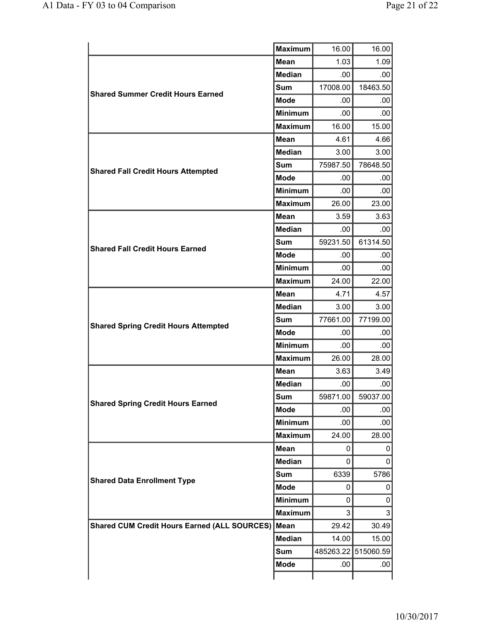|                                                     | <b>Maximum</b>     | 16.00        | 16.00     |
|-----------------------------------------------------|--------------------|--------------|-----------|
|                                                     | <b>Mean</b>        | 1.03         | 1.09      |
|                                                     | <b>Median</b>      | .00          | .00       |
|                                                     | <b>Sum</b>         | 17008.00     | 18463.50  |
| <b>Shared Summer Credit Hours Earned</b>            | <b>Mode</b>        | .00          | .00.      |
|                                                     | <b>Minimum</b>     | .00          | .00       |
|                                                     | <b>Maximum</b>     | 16.00        | 15.00     |
| <b>Mean</b><br><b>Median</b><br><b>Sum</b>          |                    | 4.61         | 4.66      |
|                                                     |                    | 3.00         | 3.00      |
|                                                     |                    | 75987.50     | 78648.50  |
| <b>Shared Fall Credit Hours Attempted</b>           | <b>Mode</b>        | .00          | .00       |
|                                                     | <b>Minimum</b>     | .00          | .00       |
|                                                     | <b>Maximum</b>     | 26.00        | 23.00     |
|                                                     | <b>Mean</b>        | 3.59         | 3.63      |
|                                                     | <b>Median</b>      | .00          | .00       |
|                                                     | <b>Sum</b>         | 59231.50     | 61314.50  |
| <b>Shared Fall Credit Hours Earned</b>              | <b>Mode</b>        | .00          | .00.      |
|                                                     | <b>Minimum</b>     | .00          | .00       |
|                                                     | <b>Maximum</b>     | 24.00        | 22.00     |
|                                                     | <b>Mean</b>        | 4.71         | 4.57      |
|                                                     | <b>Median</b>      | 3.00         | 3.00      |
| <b>Shared Spring Credit Hours Attempted</b>         | Sum                | 77661.00     | 77199.00  |
| <b>Mode</b>                                         | .00                | .00          |           |
|                                                     | <b>Minimum</b>     | .00          | .00.      |
|                                                     | <b>Maximum</b>     | 26.00        | 28.00     |
| <b>Mean</b><br><b>Median</b>                        |                    | 3.63         | 3.49      |
|                                                     |                    | .00          | .00       |
| <b>Shared Spring Credit Hours Earned</b>            | Sum<br><b>Mode</b> | 59871.00     | 59037.00  |
|                                                     |                    | .00          | .00       |
|                                                     | <b>Minimum</b>     | .00.         | .00       |
|                                                     | <b>Maximum</b>     | 24.00        | 28.00     |
|                                                     | <b>Mean</b>        | 0            | 0         |
|                                                     | <b>Median</b>      | 0            | 0         |
| <b>Shared Data Enrollment Type</b>                  | 6339<br>Sum        | 5786         |           |
|                                                     | <b>Mode</b>        | 0            | 0         |
|                                                     | <b>Minimum</b>     | $\mathbf{0}$ | 0         |
|                                                     | <b>Maximum</b>     | 3            | 3         |
| <b>Shared CUM Credit Hours Earned (ALL SOURCES)</b> | │Mean              | 29.42        | 30.49     |
|                                                     | Median             | 14.00        | 15.00     |
|                                                     | Sum                | 485263.22    | 515060.59 |
|                                                     | <b>Mode</b>        | .00          | .00       |
|                                                     |                    |              |           |